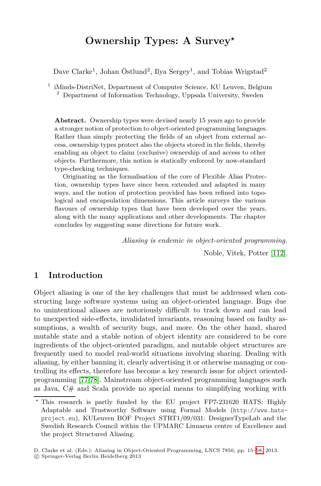# **Ownership Types: A Survey***-*

Dave Clarke<sup>1</sup>, Johan Östlund<sup>2</sup>, Ilya Sergey<sup>1</sup>, and Tobias Wrigstad<sup>2</sup>

<sup>1</sup> iMinds-DistriNet, Department of Computer Science, KU Leuven, Belgium <sup>2</sup> Department of Information Technology, Uppsala University, Sweden

**Abstract.** Ownership types were devised nearly 15 years ago to provide a stronger notion of protection to object-oriented programming languages. Rather than simply protecting the fields of an object from external access, ownership types protect also the objects stored in the fields, thereby enabling an object to claim (exclusive) ownership of and access to other objects. Furthermore, this notion is statically enforced by now-standard type-checking techniques.

Originating as the formalisation of the core of Flexible Alias Protection, ownership types have since been extended and [adap](#page-42-0)ted in many ways, and the notion of protection provided has been refined into topological and encapsulation dimensions. This article surveys the various flavours of ownership types that have been developed over the years, along with the many applications and other developments. The chapter concludes by suggesting some directions for future work.

*Aliasing is endemic in object-oriented programming.*

Noble, Vitek, Potter [112].

## **1 Introduction**

Object aliasing is one of the key challenges that must be addressed when constructing large software systems using an object-oriented language. Bugs due [to](#page-40-0) unintentional aliases are notoriously difficult to track down and can lead to unexpected side-effects, invalidated invariants, reasoning based on faulty assumptions, a wealth of security bugs, and more. On the other hand, shared mutable state and a stable notion of object identity are considered to be core ingredients of the object-oriented paradigm, and mutable object structures are frequently used to model real-world situations involving sharing. Dealing with aliasing, by either banning it, clearly advertising it or otherwise managing or controlling its effects, therefore has become a key research issue for object orientedprogramming [77,78]. Mainstream object-oriented p[rog](#page-43-0)ramming languages such as Java, C# and Scala provide no special means to simplifying working with

*<sup>-</sup>* This research is partly funded by the EU project FP7-231620 HATS: Highly Adaptable and Trustworthy Software using Formal Models (http://www.hatsproject.eu), KULeuven BOF Project STRT1/09/031: DesignerTypeLab and the Swedish Research Council within the UPMARC Linnaeus centre of Excellence and the project Structured Aliasing.

D. Clarke et al. (Eds.): Aliasing in Object-Oriented Programming, LNCS 7850, pp. 15–58, 2013. -c Springer-Verlag Berlin Heidelberg 2013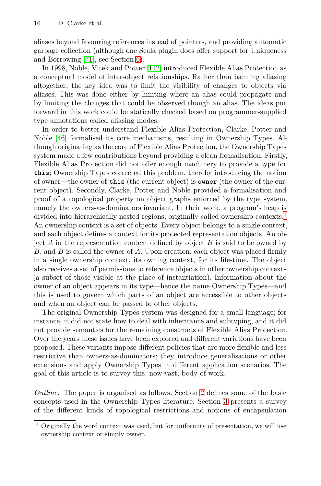aliases beyond favouring references instead of pointers, and providing automatic garbage collection (although one Scala plugin does offer support for Uniqueness and Borrowing [71], see Section 6).

In 1998, Noble, Vitek and Potter [112] introduced Flexible Alias Protection as a conceptual model of inter-object relationships. Rather than banning aliasing altogether, the key idea was to limit the visibility of changes to objects via aliases. This was done either by limiting where an alias could propagate and by limiting the changes that could be observed though an alias. The ideas put forward in this work could be statically checked based on programmer-supplied type annotations called aliasing modes.

In order to better understand Flexible Alias Protection, Clarke, Potter and Noble [46] formalised its core mechanisms, resulting in Ownership Types. Although originating as the core of Flexible Alias Protection, th[e](#page-1-0) Ownership Types system made a few contributions beyond providing a clean formalisation. Firstly, Flexible Alias Protection did not offer enough machinery to provide a type for **this**; Ownership Types corrected this problem, thereby introducing the notion of owner—the owner of **this** (the current object) is **owner** (the owner of the current object). Secondly, Clarke, Potter and Noble provided a formalisation and proof of a topological property on object graphs enforced by the type system, namely the owners-as-dominators invariant. In their work, a program's heap is divided into hierarchically nested regions, originally called ownership contexts.<sup>1</sup> An ownership context is a set of objects. Every object belongs to a single context, and each object defines a context for its protected representation objects. An object *A* in the representation context defined by object *B* is said to be owned by *B*, and *B* is called the owner of *A*. Upon creation, each object was placed firmly in a single ownership context, its owning context, for its life-time. The object also receives a set of permissions to reference objects in other ownership contexts (a subset of those visible at the place of instantiation). Information about the owner of an object appears in its type—hence the name Ownership Types—and this is used to govern which parts of an object are accessible to other objects and when an object can be passed to other objects.

<span id="page-1-0"></span>The original Ownership Types system was designed for a small language; for instance, it did not state how to deal with inheritance and subtyping, and it did not provide semantics for the rem[ain](#page-2-0)ing constructs of Flexible Alias Protection. Over the years these issues have been expl[or](#page-4-0)ed and different variations have been proposed. These variants impose different policies that are more flexible and less restrictive than owners-as-dominators; they introduce generalisations or other extensions and apply Ownership Types in different application scenarios. The goal of this article is to survey this, now vast, body of work.

*Outline.* The paper is organised as follows. Section 2 defines some of the basic concepts used in the Ownership Types literature. Section 3 presents a survey of the different kinds of topological restrictions and notions of encapsulation

<sup>1</sup> Originally the word context was used, but for uniformity of presentation, we will use ownership context or simply owner.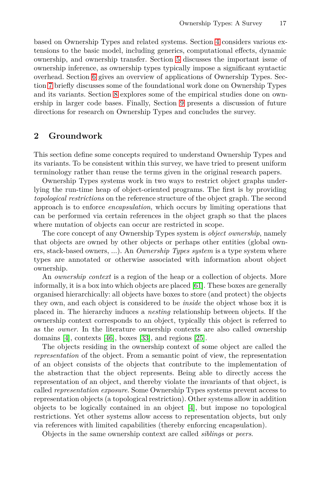<span id="page-2-0"></span>based on Ownership Types [an](#page-34-0)d related systems. Section 4 considers various extensions to the basic model, including generics, computational effects, dynamic ownership, and ownership transfer. Section 5 discusses the important issue of ownership inference, as ownership types typically impose a significant syntactic overhead. Section 6 gives an overview of applications of Ownership Types. Section 7 briefly discusses some of the foundational work done on Ownership Types and its variants. Section 8 explores some of the empirical studies done on ownership in larger code bases. Finally, Section 9 presents a discussion of future directions for research on Ownership Types and concludes the survey.

## **2 Groundwork**

This section define some concepts required to understand Ownership Types and its variants. To be consistent within this survey, we have tried to present uniform terminology rather than reuse the terms given in the original research papers.

Ownership Types systems work in two ways to restrict object graphs underlying the run-time heap of object-oriented programs. The first is by providing *topological restrictions* on the reference structure of the object graph. The second approach is to enforce *encapsulation*, which occurs by limiting operations that can be performed via certain re[fere](#page-39-0)nces in the object graph so that the places where mutation of objects can occur are restricted in scope.

The core concept of any Ownership Types system is *object ownership*, namely that objects are owned by other objects or perhaps other entities (global owners, stack-based owners, ...). An *Ownership Types system* is a type system where types are annotated or otherwise associated with information about object own[ersh](#page-38-0)ip.

An *ownershi[p](#page-37-0) [co](#page-37-0)ntext* is a reg[ion](#page-37-1) of the heap or a collection of objects. More informally, it is a box into which objects are placed [61]. These boxes are generally organised hierarchically: all objects have boxes to store (and protect) the objects they own, and each object is considered to be *inside* the object whose box it is placed in. The hierarchy induces a *nesting* relationship between objects. If the ownership context corresponds to an object, typically this object is referred to as the *owner*. In the literature ownership contexts are also called ownership domains [4], contexts [46], box[es](#page-36-0) [33], and regions [25].

The objects residing in the ownership context of some object are called the *representation* of the object. From a semantic point of view, the representation of an object consists of the objects that contribute to the implementation of the abstraction that the object represents. Being able to directly access the representation of an object, and thereby violate the invariants of that object, is called *representation exposure*. Some Ownership Types systems prevent access to representation objects (a topological restriction). Other systems allow in addition objects to be logically contained in an object [4], but impose no topological restrictions. Yet other systems allow access to representation objects, but only via references with limited capabilities (thereby enforcing encapsulation).

Objects in the same ownership context are called *siblings* or *peers*.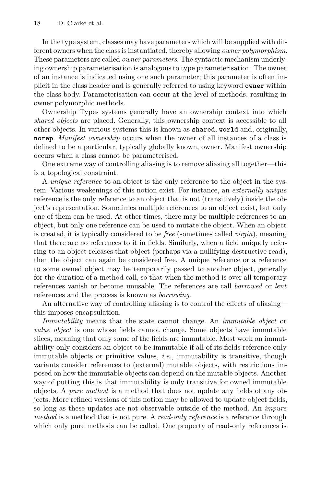In the type system, classes may have parameters which will be supplied with different owners when the class is instantiated, thereby allowing *owner polymorphism*. These parameters are called *owner parameters*. The syntactic mechanism underlying ownership parameterisation is analogous to type parameterisation. The owner of an instance is indicated using one such parameter; this parameter is often implicit in the class header and is generally referred to using keyword **owner** within the class body. Parameterisation can occur at the level of methods, resulting in owner polymorphic methods.

Ownership Types systems generally have an ownership context into which *shared objects* are placed. Generally, this ownership context is accessible to all other objects. In various systems this is known as **shared**, **world** and, originally, **norep**. *Manifest ownership* occurs when the owner of all instances of a class is defined to be a particular, typically globally known, owner. Manifest ownership occurs when a class cannot be parameterised.

One extreme way of controlling aliasing is to remove aliasing all together—this is a topological constraint.

A *unique reference* to an object is the only reference to the object in the system. Various weakenings of this notion exist. For instance, an *externally unique* reference is the only reference to an object that is not (transitively) inside the object's representation. Sometimes multiple references to an object exist, but only one of them can be used. At other times, there may be multiple references to an object, but only one reference can be used to mutate the object. When an object is created, it is typically considered to be *free* (sometimes called *virgin*), meaning that there are no references to it in fields. Similarly, when a field uniquely referring to an object releases that object (perhaps via a nullifying destructive read), then the object can again be considered free. A unique reference or a reference to some owned object may be temporarily passed to another object, generally for the duration of a method call, so that when the method is over all temporary references vanish or become unusable. The references are call *borrowed* or *lent* references and the process is known as *borrowing*.

An alternative way of controlling aliasing is to control the effects of aliasing this imposes encapsulation.

*Immutability* means that the state cannot change. An *immutable object* or *value object* is one whose fields cannot change. Some objects have immutable slices, meaning that only some of the fields are immutable. Most work on immutability only considers an object to be immutable if all of its fields reference only immutable objects or primitive values, *i.e.,* immutability is transitive, though variants consider references to (external) mutable objects, with restrictions imposed on how the immutable objects can depend on the mutable objects. Another way of putting this is that immutability is only transitive for owned immutable objects. A *pure method* is a method that does not update any fields of any objects. More refined versions of this notion may be allowed to update object fields, so long as these updates are not observable outside of the method. An *impure method* is a method that is not pure. A *read-only reference* is a reference through which only pure methods can be called. One property of read-only references is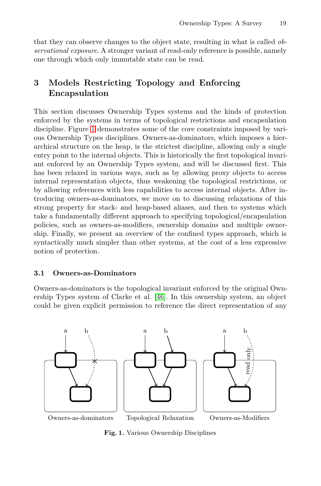<span id="page-4-0"></span>that they can observe changes to the object state, resulting in what is called *observational exposure*. A stronger variant of read-only reference is possible, namely [on](#page-4-1)e through which only immutable state can be read.

## **3 Models Restricting Topology and Enforcing Encapsulation**

This section discusses Ownership Types systems and the kinds of protection enforced by the systems in terms of topological restrictions and encapsulation discipline. Figure 1 demonstrates some of the core constraints imposed by various Ownership Types disciplines. Owners-as-dominators, which imposes a hierarchical structure on the heap, is the strictest discipline, allowing only a single entry point to the internal objects. This is historically the first topological invariant enforced by an Ownership Types system, and will be discussed first. This has been relaxed in various ways, such as by allowing proxy objects to access internal representation objects, thus weakening the topological restrictions, or by allowing references with less capabilities to access internal objects. After introducing owners-as-dominators, we move on to discussing relaxations of this strong property for stack- and heap-based aliases, and then to systems which take a fundamentally different approach to specifying topological/encapsulation policies, such as owners-as-modifiers, ownership domains and multiple ownership. Finally, we pr[esen](#page-38-0)t an overview of the confined types approach, which is syntactically much simpler than other systems, at the cost of a less expressive notion of protection.

## **3.1 Owners-as-Dominators**

Owners-as-dominators is the topological invariant enforced by the original Ownership Types system of Clarke et al. [46]. In this ownership system, an object could be given explicit permission to reference the direct representation of any

<span id="page-4-1"></span>

**Fig. 1.** Various Ownership Disciplines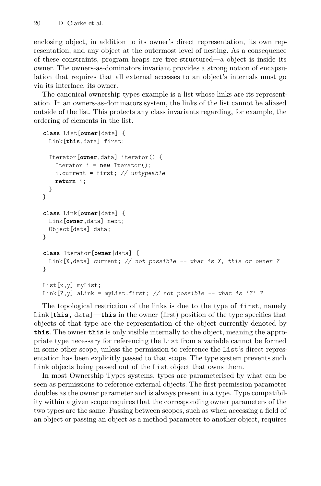enclosing object, in addition to its owner's direct representation, its own representation, and any object at the outermost level of nesting. As a consequence of these constraints, program heaps are tree-structured—a object is inside its owner. The owners-as-dominators invariant provides a strong notion of encapsulation that requires that all external accesses to an object's internals must go via its interface, its owner.

The canonical ownership types example is a list whose links are its representation. In an owners-as-dominators system, the links of the list cannot be aliased outside of the list. This protects any class invariants regarding, for example, the ordering of elements in the list.

```
class List[owner|data] {
 Link[this,data] first;
 Iterator[owner,data] iterator() {
   Iterator i = new Iterator();
   i.current = first; // untypeable
   return i;
 }
}
class Link[owner|data] {
 Link[owner,data] next;
 Object[data] data;
}
class Iterator[owner|data] {
 Link[X,data] current; // not possible -- what is X, this or owner ?
}
List[x,y] myList;
Link[?,y] aLink = myList.first; // not possible -- what is '?' ?
```
The topological restriction of the links is due to the type of first, namely Link[**this**, data]—**this** in the owner (first) position of the type specifies that objects of that type are the representation of the object currently denoted by **this**. The owner **this** is only visible internally to the object, meaning the appropriate type necessary for referencing the List from a variable cannot be formed in some other scope, unless the permission to reference the List's direct representation has been explicitly passed to that scope. The type system prevents such Link objects being passed out of the List object that owns them.

In most Ownership Types systems, types are parameterised by what can be seen as permissions to reference external objects. The first permission parameter doubles as the owner parameter and is always present in a type. Type compatibility within a given scope requires that the corresponding owner parameters of the two types are the same. Passing between scopes, such as when accessing a field of an object or passing an object as a method parameter to another object, requires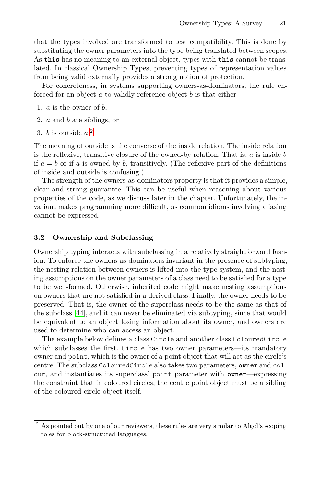that the types involved are transformed to test compatibility. This is done by substituting the owner parameters into the type being translated between scopes. As **this** has no meaning to an external object, types with **this** cannot be trans[la](#page-6-0)ted. In classical Ownership Types, preventing types of representation values from being valid externally provides a strong notion of protection.

For concreteness, in systems supporting owners-as-dominators, the rule enforced for an object *a* to validly reference object *b* is that either

- 1. *a* is the owner of *b*,
- 2. *a* and *b* are siblings, or
- 3. *b* is outside *a*. 2

The meaning of outside is the converse of the inside relation. The inside relation is the reflexive, transitive closure of the owned-by relation. That is, *a* is inside *b* if  $a = b$  or if a is owned by b, transitively. (The reflexive part of the definitions of inside and outside is confusing.)

The strength of the owners-as-dominators property is that it provides a simple, clear and strong guarantee. This can be useful when reasoning about various properties of the code, as we discuss later in the chapter. Unfortunately, the invariant makes programming more difficult, as common idioms involving aliasing cannot be expressed.

#### **3.2 Ownership and Subclassing**

Ownership typing interacts with subclassing in a relatively straightforward fashion. To enforce the owners-as-dominators invariant in the presence of subtyping, the nesting relation between owners is lifted into the type system, and the nesting assumptions on the owner parameters of a class need to be satisfied for a type to be well-formed. Otherwise, inherited code might make nesting assumptions on owners that are not satisfied in a derived class. Finally, the owner needs to be preserved. That is, the owner of the superclass needs to be the same as that of the subclass [44], and it can never be eliminated via subtyping, since that would be equivalent to an object losing information about its owner, and owners are used to determine who can access an object.

<span id="page-6-0"></span>The example below defines a class Circle and another class ColouredCircle which subclasses the first. Circle has two owner parameters—its mandatory owner and point, which is the owner of a point object that will act as the circle's centre. The subclass ColouredCircle also takes two parameters, **owner** and colour, and instantiates its superclass' point parameter with **owner**—expressing the constraint that in coloured circles, the centre point object must be a sibling of the coloured circle object itself.

<sup>2</sup> As pointed out by one of our reviewers, these rules are very similar to Algol's scoping roles for block-structured languages.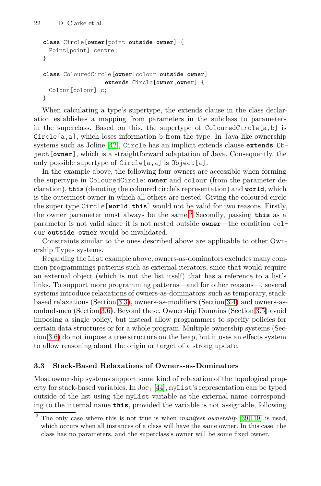```
22 D. Clarke et al.
  class Circle[owner|point outside owner] {
    Point[point] centre;
  }
  class ColouredCircle[owner|colour outside owner]
                     extends Circle[owner,owner] {
    Colour[colour] c;
  }
```
When calculating a type's supertype, the extends clause in the class declaration establishes a mapping from parameters in the subclass to parameters in the superclass. Based on this, the supertype of ColouredCircle[a,b] is Circle[a,a], which loses information b from the type. In Java-like ownership systems such as Joline [42], Ci[rc](#page-7-0)le has an implicit extends clause **extends** Object[**owner**], which is a straightforward adaptation of Java. Consequently, the only possible supertype of Circle[a,a] is Object[a].

In the example above, the following four owners are accessible when forming the supertype in ColouredCircle: **owner** and colour (from the parameter declaration), **this** (denoting the coloured circle's representation) and **world**, which is the outermost owner in which all others are nested. Giving the coloured circle the super type Circle[**world**,**this**] would not be valid for two reasons. Firstly, the owner parameter must always be the same.<sup>3</sup> Secondly, passing **this** as a parameter is not valid since it is not nested outside **owner**—the condition colour **out[side](#page-7-1) owner** would be invalidated.

<span id="page-7-1"></span>[Con](#page-13-0)straints similar to the ones describe[d](#page-8-0) [ab](#page-8-0)ove [are a](#page-10-0)pplicable to other Ownership Types systems.

<span id="page-7-0"></span>Regarding the List example above, owners-as-dominators excludes many common programmings patterns such as external iterators, since that would require an external object (which is not the list itself) that has a reference to a list's links. To support more programming patterns—and for other reasons—, several systems introduce relaxations of owners-as-dominators: such as temporary, stackbased relaxations (Section 3.3), owners-as-modifiers (Section 3.4) and owners-asombudsmen (Section 3.6). Beyond these, Ownership Domains (Section 3.5) avoid imposing a single p[olic](#page-38-2)y, but instead allow programmers to specify policies for certain data structures or for a whole program. Multiple ownership systems (Section 3.6) do not impose a tree structure on the heap, but it uses an effects system to allow reasoning about the origin or target o[f](#page-38-3) [a](#page-38-3) [stro](#page-42-1)ng update.

### **3.3 Stack-Based Relaxations of Owners-as-Dominators**

Most ownership systems support some kind of relaxation of the topological property for stack-based variables. In Joe<sub>1</sub> [44], myList's representation can be typed outside of the list using the myList variable as the external name corresponding to the internal name **this**, provided the variable is not assignable, following

<sup>3</sup> The only case where this is not true is when *manifest ownership* [39,119] is used, which occurs when all instances of a class will have the same owner. In this case, the class has no parameters, and the superclass's owner will be some fixed owner.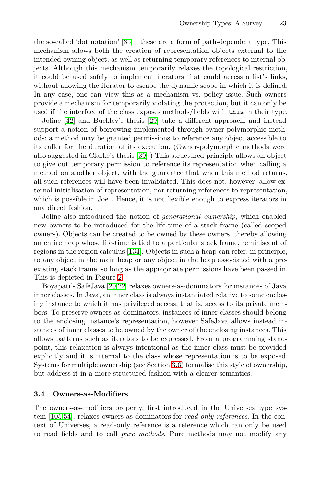the so-called 'dot notation' [35]—these are a form of path-dependent type. This mechanism allows [bo](#page-37-2)th the creation of representation objects external to the intended owning object, as well as returning temporary references to internal objects. Although this mechanism temporarily relaxes the topological restriction, it could be used safely to implement iterators that could access a list's links, without allowi[ng t](#page-38-3)he iterator to escape the dynamic scope in which it is defined. In any case, one can view this as a mechanism vs. policy issue. Such owners provide a mechanism for temporarily violating the protection, but it can only be used if the interface of the class exposes methods/fields with **this** in their type.

Joline [42] and Buckley's thesis [29] take a different approach, and instead support a notion of borrowing implemented through owner-polymorphic methods: a method may be granted permissions to reference any object accessible to its caller for the duration of its execution. (Owner-polymorphic methods were also suggested in Clarke's thesis [39].) This structured principle allows an object to give out temporary permission to reference its representation when calling a method on another object, with the guarantee that when this method returns, all such ref[erenc](#page-43-1)es will have been invalidated. This does not, however, allow external initialisation of representation, nor returning references to representation, which is possible in Joe<sub>1</sub>. Hence, it is not flexible enough to express iterators in any dire[ct](#page-9-0) fashion.

Jo[line](#page-37-3) [al](#page-37-4)so introduced the notion of *generational ownership*, which enabled new owners to be introduced for the life-time of a stack frame (called scoped owners). Objects can be created to be owned by these owners, thereby allowing an entire heap whose life-time is tied to a particular stack frame, reminiscent of regions in the region calculus [134]. Objects in such a heap can refer, in principle, to any object in the main heap or any object in the heap associated with a preexisting stack frame, so long as the appropriate permissions have been passed in. This is depicted in Figure 2.

<span id="page-8-0"></span>Boyapati's SafeJava [20,22] relaxes owners-as-dominators for instances of Java inner classes. In Java, an [inne](#page-13-0)r class is always instantiated relative to some enclosing instance to which it has privileged access, that is, access to its private members. To preserve owners-as-dominators, instances of inner classes should belong to the enclosing instance's representation, however SafeJava allows instead instances of inner classes to be owned by the owner of the enclosing instances. This allows patterns such as iterators to be expressed. From a programming standpoint, this relaxation is always intentional as the inner class must be provided explicitly and it is internal to the class whose representation is to be exposed. Systems for multiple ownership (see Section 3.6) formalise this style of ownership, but address it in a more structured fashion with a clearer semantics.

#### **3.4 Owners-as-Modifiers**

The owners-as-modifiers property, first introduced in the Universes type system [105,54], relaxes owners-as-dominators for *read-only references*. In the context of Universes, a read-only reference is a reference which can only be used to read fields and to call *pure methods*. Pure methods may not modify any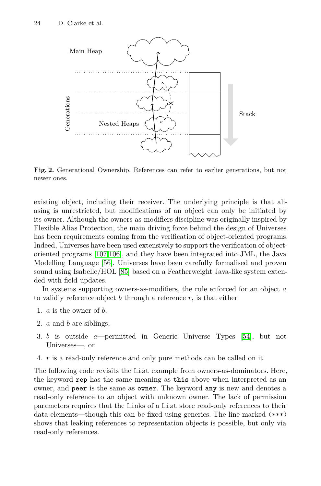<span id="page-9-0"></span>

Fig. 2. Generational Ownership. References can refer to earlier generations, but not newer ones.

exis[ting](#page-39-1) [obj](#page-40-1)ect, including their receiver. The underlying principle is that aliasing is unrestricted, but modifications of an object can only be initiated by its owner. Although the owners-as-modifiers discipline was originally inspired by Flexible Alias Protection, the main driving force behind the design of Universes has been requirements coming from the verification of object-oriented programs. Indeed, Universes have been used extensively to support the verification of objectoriented programs [107,106], and they have been integrated into JML, the Java Modelling Language [56]. Universes have been carefully formalised and proven sound using Isabelle/HOL [85] based on a Feat[herw](#page-39-2)eight Java-like system extended with field updates.

In systems supporting owners-as-modifiers, the rule enforced for an object *a* to validly reference object *b* through a reference *r*, is that either

- 1. *a* is the owner of *b*,
- 2. *a* and *b* are siblings,
- 3. *b* is outside *a*—permitted in Generic Universe Types [54], but not Universes—, or
- 4. *r* is a read-only reference and only pure methods can be called on it.

The following code revisits the List example from owners-as-dominators. Here, the keyword **rep** has the same meaning as **this** above when interpreted as an owner, and **peer** is the same as **owner**. The keyword **any** is new and denotes a read-only reference to an object with unknown owner. The lack of permission parameters requires that the Links of a List store read-only references to their data elements—though this can be fixed using generics. The line marked (\*\*\*) shows that leaking references to representation objects is possible, but only via read-only references.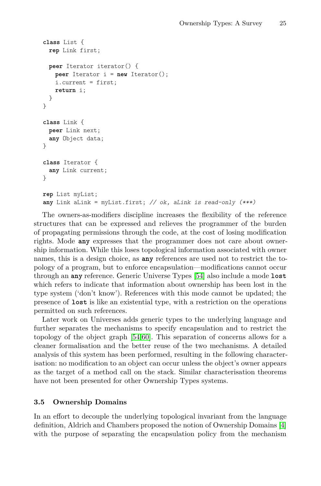```
class List {
 rep Link first;
 peer Iterator iterator() {
   peer Iterator i = new Iterator();
   i.current = first;
   return i;
 }
}
class Link {
 peer Link next;
 any Object data;
}
class Iterator {
 any Link current;
}
rep List myList;
any Link aLink = myList.first; // ok, aLink is read-only (***)
```
<span id="page-10-0"></span>The owners-as-modifiers disci[plin](#page-39-2)e increases the flexibility of the reference structures that can be expressed and relieves the programmer of the burden of propagating permissions through the code, at the cost of losing modification rights. Mode **any** expresses that the programmer does not care about ownership information. While this loses topological information associated with owner names, this is a design choice, as **any** references are used not to restrict the topology of a [pro](#page-39-2)[gram](#page-39-3), but to enforce encapsulation—modifications cannot occur through an **any** reference. Generic Universe Types [54] also include a mode **lost** which refers to indicate that information about ownership has been lost in the type system ('don't know'). References with this mode cannot be updated; the presence of **lost** is like an existential type, with a restriction on the operations permitted on such references.

Later work on Universes adds generic types to the underlying language and further separates the mechanisms to specify encapsulation and to restrict the topology of the object graph [54,60]. This separation of concerns allows for a cleaner formalisation and the better reuse of the two mechanisms. A detailed analysis of this system has been performed, resulting in th[e fo](#page-36-0)llowing characterisation: no modification to an object can occur unless the object's owner appears as the target of a method call on the stack. Similar characterisation theorems have not been presented for other Ownership Types systems.

## **3.5 Ownership Domains**

In an effort to decouple the underlying topological invariant from the language definition, Aldrich and Chambers proposed the notion of Ownership Domains [4] with the purpose of separating the encapsulation policy from the mechanism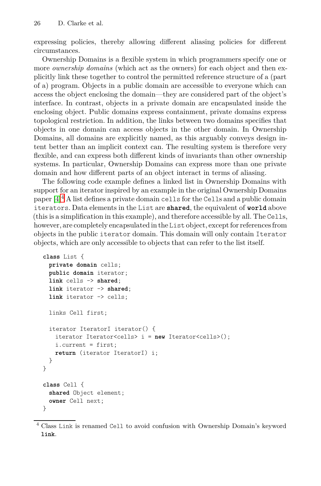expressing policies, thereby allowing different aliasing policies for different circumstances.

Ownership Domains is a flexible system in which programmers specify one or more *ownership domains* (which act as the owners) for each object and then explicitly link these together to control the permitted reference structure of a (part of a) program. Objects in a public domain are accessible to everyone which can access the object enclosing the domain—they are considered part of the object's interface. In contrast, objects in a private domain are encapsulated inside the enclosing object. Public domains express containment, private domains express topological restriction. In addition, the links between two domains specifies that objects in one domain can access objects in the other domain. In Ownership Domains, all domains are explicitly named, as this arguably conveys design intent better than an implicit context can. The resulting system is therefore very flexible, and can express both different kinds of invariants than other ownership systems. In particular, Ownership Domains can express more than one private domain and how different parts of an object interact in terms of aliasing.

The following code example defines a linked list in Ownership Domains with support for an iterator inspired by an example in the original Ownership Domains paper  $[4]^4$  A list defines a private domain cells for the Cells and a public domain iterators. Data elements in the List are **shared**, the equivalent of **world** above (this is a simplification in this example), and therefore accessible by all. The Cells, however, are completely encapsulated in the List object, except for references from objects in the public iterator domain. This domain will only contain Iterator objects, which are only accessible to objects that can refer to the list itself.

```
class List {
 private domain cells;
 public domain iterator;
 link cells -> shared;
 link iterator -> shared;
 link iterator -> cells;
 links Cell first;
 iterator IteratorI iterator() {
   iterator Iterator<cells> i = new Iterator<cells>();
   i.current = first;
   return (iterator IteratorI) i;
 }
}
class Cell {
 shared Object element;
 owner Cell next;
}
```
<sup>4</sup> Class Link is renamed Cell to avoid confusion with Ownership Domain's keyword **link**.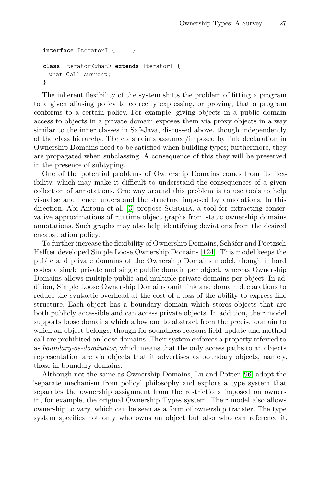```
interface IteratorI { ... }
class Iterator<what> extends IteratorI {
 what Cell current;
}
```
The inherent flexibility of the system shifts the problem of fitting a program to a given aliasing policy to correctly expressing, or proving, that a program conforms to a certain policy. For example, giving objects in a public domain access to objects in a private domain exposes them via proxy objects in a way similar to the inner classes in SafeJava, discussed above, though independently of the class [h](#page-36-1)ierarchy. The constraints assumed/imposed by link declaration in Ownership Domains need to be satisfied when building types; furthermore, they are propagated when subclassing. A consequence of this they will be preserved in the presence of subtyping.

One of the potential problems of Ownership Domains comes from its flexibility, which may make it difficul[t to](#page-42-2) understand the consequences of a given collection of annotations. One way around this problem is to use tools to help visualise and hence understand the structure imposed by annotations. In this direction, Abi-Antoun et al. [3] propose SCHOLIA, a tool for extracting conservative approximations of runtime object graphs from static ownership domains annotations. Such graphs may also help identifying deviations from the desired encapsulation policy.

To further increase the flexibility of Ownership Domains, Schäfer and Poetzsch-Heffter developed Simple Loose Ownership Domains [124]. This model keeps the public and private domains of the Ownership Domains model, though it hard codes a single private and single public domain per object, whereas Ownership Domains allows multiple public and multiple private domains per object. In addition, Simple Loose Ownership Domains omit link and domain declarations to reduce the syntactic overhead at the cost of a loss of the ability to express fine structure. Each object has a boundary domai[n w](#page-41-0)hich stores objects that are both publicly accessible and can access private objects. In addition, their model supports loose domains which allow one to abstract from the precise domain to which an object belongs, though for soundness reasons field update and method call are prohibited on loose domains. Their system enforces a property referred to as *boundary-as-dominator*, which means that the only access paths to an objects representation are via objects that it advertises as boundary objects, namely, those in boundary domains.

Although not the same as Ownership Domains, Lu and Potter [96] adopt the 'separate mechanism from policy' philosophy and explore a type system that separates the ownership assignment from the restrictions imposed on owners in, for example, the original Ownership Types system. Their model also allows ownership to vary, which can be seen as a form of ownership transfer. The type system specifies not only who owns an object but also who can reference it.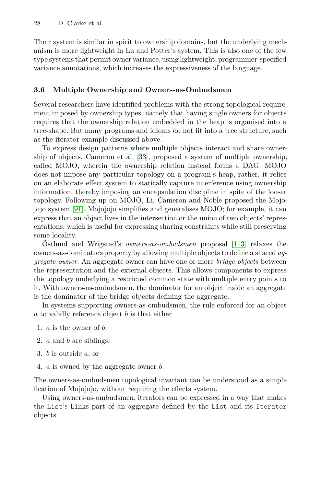<span id="page-13-0"></span>Their system is similar in spirit to ownership domains, but the underlying mechanism is more lightweight in Lu and Potter's system. This is also one of the few type systems that permit owner variance, using lightweight, programmer-specified variance annotations, which increases the expressiveness of the language.

#### **3.6 Multipl[e O](#page-37-0)wnership and Owners-as-Ombudsmen**

Several researchers have identified problems with the strong topological requirement imposed by ownership types, namely that having single owners for objects requires that the ownership relation embedded in the heap is organised into a tree-shape. But many programs and idioms do not fit into a tree structure, such as the iterator example discussed above.

To express design patterns where multiple objects interact and share ownership of objects, Cameron et al. [33], proposed a system of multiple ownership, called MOJO, wherein the ownership relation instead forms a DAG. MOJO does not impose any particular topology on [a pr](#page-42-3)ogram's heap, rather, it relies on an elaborate effect system to statically capture interference using ownership information, thereby imposing an encapsulation discipline in spite of the looser topology. Following up on MOJO, Li, Cameron and Noble proposed the Mojojojo system [91]. Mojojojo simplifies and generalises MOJO; for example, it can express that an object lives in the intersection or the union of two objects' representations, which is useful for expressing sharing constraints while still preserving some locality.

Östlund and Wrigstad's *owners-as-ombudsmen* proposal [113] relaxes the owners-as-dominators property by allowing multiple objects to define a shared *aggregate owner*. An aggregate owner can have one or more *bridge objects* between the representation and the external objects. This allows components to express the topology underlying a restricted common state with multiple entry points to it. With owners-as-ombudsmen, the dominator for an object inside an aggregate is the dominator of the bridge objects defining the aggregate.

In systems supporting owners-as-ombudsmen, the rule enforced for an object *a* to validly reference object *b* is that either

- 1. *a* is the owner of *b*,
- 2. *a* and *b* are siblings,
- 3. *b* is outside *a*, or
- 4. *a* is owned by the aggregate owner *b*.

The owners-as-ombudsmen topological invariant can be understood as a simplification of Mojojojo, without requiring the effects system.

Using owners-as-ombudsmen, iterators can be expressed in a way that makes the List's Links part of an aggregate defined by the List and its Iterator objects.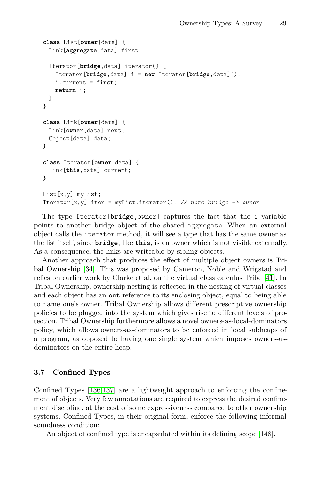```
class List[owner|data] {
 Link[aggregate,data] first;
 Iterator[bridge,data] iterator() {
   Iterator[bridge,data] i = new Iterator[bridge,data]();
   i.current = first;
   return i;
 }
}
class Link[owner|data] {
 Link[owner,data] next;
 Object[data] data;
}
class Iterator[owner|data] {
 Link[this,data] current;
}
List[x,y] myList;
Iterator[x,y] iter = myList.iterator(); // note bridge -> owner
```
<span id="page-14-0"></span>The type Iterator[**bridge**,owner] captures the [fact](#page-38-4) that the i variable points to another bridge object of the shared aggregate. When an external object calls the iterator method, it will see a type that has the same owner as the list itself, since **bridge**, like **this**, is an owner which is not visible externally. As a consequence, the links are writeable by sibling objects.

Another approach that produces the effect of multiple object owners is Tribal Ownership [34]. This was proposed by Cameron, Noble and Wrigstad and relies on earlier work by Clarke et al. on the virtual class calculus Tribe [41]. In Tribal Ownership, ownership nesting is reflected in the nesting of virtual classes and each object has an **out** reference to its enclosing object, equal to being able to name one's owner. Tribal Ownership allows different prescriptive ownership policies to be plugged into the system which gives rise to different levels of pro[tect](#page-43-2)[ion.](#page-43-3) Tribal Ownership furthermore allows a novel owners-as-local-dominators policy, which allows owners-as-dominators to be enforced in local subheaps of a program, as opposed to having one single system which imposes owners-asdominators on the entire heap.

## **3.7 Confined Types**

Confined Types [136,137] are a lightweight approach to enforcing the confinement of objects. Very few annotations are required to express the desired confinement discipline, at the cost of some expressiveness compared to other ownership systems. Confined Types, in their original form, enforce the following informal soundness condition:

An object of confined type is encapsulated within its defining scope [148].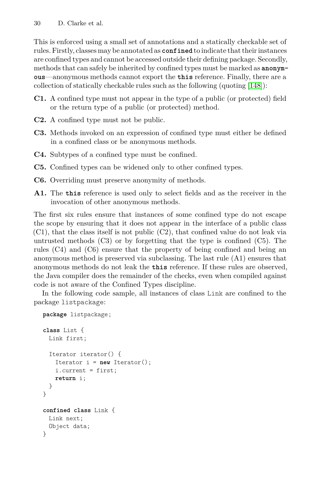This is enforced using a small set of annotations and a statically checkable set of rules. Firstly, classes may be annotated as **confined** to indicate that their instances are confined types and cannot be accessed outside their defining package. Secondly, methods that can safely be inherited by confined types must be marked as **anonymous**—anonymous methods cannot export the **this** reference. Finally, there are a collection of statically checkable rules such as the following (quoting [148]):

- **C1.** A confined type must not appear in the type of a public (or protected) field or the return type of a public (or protected) method.
- **C2.** A confined type must not be public.
- **C3.** Methods invoked on an expression of confined type must either be defined in a confined class or be anonymous methods.
- **C4.** Subtypes of a confined type must be confined.
- **C5.** Confined types can be widened only to other confined types.
- **C6.** Overriding must preserve anonymity of methods.
- **A1.** The **this** reference is used only to select fields and as the receiver in the invocation of other anonymous methods.

The first six rules ensure that instances of some confined type do not escape the scope by ensuring that it does not appear in the interface of a public class (C1), that the class itself is not public (C2), that confined value do not leak via untrusted methods (C3) or by forgetting that the type is confined (C5). The rules (C4) and (C6) ensure that the property of being confined and being an anonymous method is preserved via subclassing. The last rule (A1) ensures that anonymous methods do not leak the **this** reference. If these rules are observed, the Java compiler does the remainder of the checks, even when compiled against code is not aware of the Confined Types discipline.

In the following code sample, all instances of class Link are confined to the package listpackage:

```
package listpackage;
```

```
class List {
 Link first;
 Iterator iterator() {
   Iterator i = new Iterator();
   i.current = first;
   return i;
 }
}
confined class Link {
 Link next;
 Object data;
}
```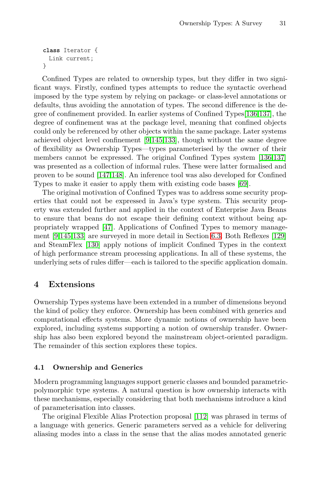```
class Iterator {
 Link current;
}
```
Confined Typ[es](#page-36-2) [are](#page-43-4) [rela](#page-43-5)ted to ownership types, but they differ in two significant ways. Firstly, confined types attempts to red[uce t](#page-43-2)[he s](#page-43-3)yntactic overhead imposed by the type system by relying on package- or class-level annotations or d[efaul](#page-43-6)[ts, th](#page-43-7)us avoiding the annotation of types. The second difference is the degree of confinement provided. In earlier system[s of](#page-39-4) Confined Types[136,137], the degree of confinement was at the package level, meaning that confined objects could only be referenced by other objects within the same package. Later systems achieved object level confinement [9,145,133], though without the same degree of flexibility as Ownership Types—types parameterised by the owner of their me[mbe](#page-38-5)rs cannot be expressed. The original Confined Types system [136,137] was presented as a collection of infor[mal r](#page-28-0)ules. These wer[e lat](#page-42-4)ter formalised and [pro](#page-42-5)ven to be sound [147,148]. An inference tool was also developed for Confined Types to make it easier to apply them with existing code bases [69].

The original motivation of Confined Types was to address some security properties that could not be expressed in Java's type system. This security property was extended further and applied in the context of Enterprise Java Beans to ensure that beans do not escape their defining context without being appropriately wrapped [47]. Applications of Confined Types to memory management [9,145,133] are surveyed in more detail in Section 6.3. Both Reflexes [129] and SteamFlex [130] apply notions of implicit Confined Types in the context of high performance stream processing applications. In all of these systems, the underlying sets of rules differ—each is tailored to the specific application domain.

## **4 Extensions**

Ownership Types systems have been extended in a number of dimensions beyond the kind of policy they enforce. Ownership has been combined with generics and computational effects systems. More dynamic notions of ownership have been explored, including systems supporting a notion of ownership transfer. Ownership has also been explored beyond the mainstream object-oriented paradigm. The remainder of this section ex[plore](#page-42-0)s these topics.

## **4.1 Ownership and Generics**

Modern programming languages support generic classes and bounded parametricpolymorphic type systems. A natural question is how ownership interacts with these mechanisms, especially considering that both mechanisms introduce a kind of parameterisation into classes.

The original Flexible Alias Protection proposal [112] was phrased in terms of a language with generics. Generic parameters served as a vehicle for delivering aliasing modes into a class in the sense that the alias modes annotated generic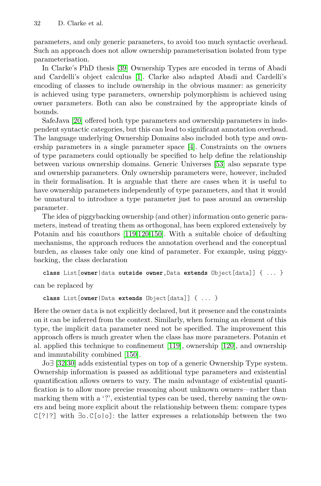parameters, and only generic parameters, to avoid too much syntactic overhead. Such an approach does not allow ownership parameterisation isolated from type parameterisation.

In Clarke's PhD thesis [39] Ownership Types are encoded in terms of Abadi and Cardelli's object calculus [\[1](#page-36-0)]. Clarke also adapted Abadi and Cardelli's encoding of classes to include ownership in the obvious manner: as genericity is achieved using type parameters, ow[ner](#page-38-6)ship polymorphism is achieved using owner parameters. Both can also be constrained by the appropriate kinds of bounds.

SafeJava [20] offered both type parameters and ownership parameters in independent syntactic categories, but this can lead to significant annotation overhead. The language underlying Ownership Domains also included both type and ownership parameters in a single parameter space [4]. Constraints on the owners of type parameters could optionally be specified to help define the relationship between v[ario](#page-42-1)[us o](#page-42-6)[wner](#page-43-8)ship domains. Generic Universes [53] also separate type and ownership parameters. Only ownership parameters were, however, included in their formalisation. It is arguable that there are cases when it is useful to have ownership parameters independently of type parameters, and that it would be unnatural to introduce a type parameter just to pass around an ownership parameter.

The idea of piggybacking ownership (and other) information onto generic parameters, instead of treating them as orthogonal, has been explored extensively by Potanin and his coauthors [119,120,150]. With a suitable choice of defaulting mechanisms, the approach reduces the annotation overhead and the conceptual burden, as classes take only one kind of parameter. For example, using piggybacking, the class declaration

**class** List[**owner**|da[ta](#page-42-1) **outside owner**[,Data](#page-42-6) **extends** Object[data]] { ... }

can be rep[laced](#page-43-8) by

**class** List[**owner**|Data **extends** Object[data]] { ... }

Here the owner data is not explicitly declared, but it presence and the constraints on it can be inferred from the context. Similarly, when forming an element of this type, the implicit data parameter need not be specified. The improvement this approach offers is much greater when the class has more parameters. Potanin et al. applied this technique to confinement [119], ownership [120], and ownership and immutability combined [150].

Jo∃ [32,30] adds existential types on top of a generic Ownership Type system. Ownership information is passed as additional type parameters and existential quantification allows owners to vary. The main advantage of existential quantification is to allow more precise reasoning about unknown owners—rather than marking them with a '?', existential types can be used, thereby naming the owners and being more explicit about the relationship between them: compare types C[?|?] with ∃o.C[o|o]: the latter expresses a relationship between the two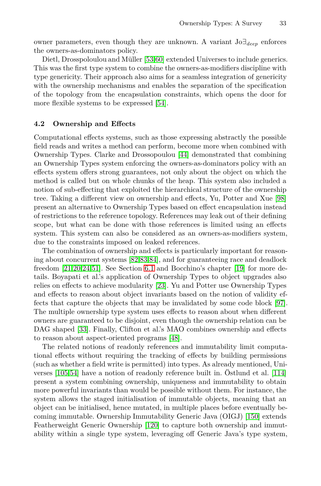owner parameters, e[ven](#page-39-2) though they are unknown. A variant Jo∃*deep* enforces the owners-as-dominators policy.

Dietl, Drosspoloulou and Müller [53,60] extended Universes to include generics. This was the first type system to combine the owners-as-modifiers discipline with type genericity. Their approach also aims for a seamless integration of genericity with the ownership mechan[ism](#page-38-2)s and enables the separation of the specification of the topology from the encapsulation constraints, which opens the door for more flexible systems to be expressed [54].

#### **4.2 Ownership and Effects**

Computational effects systems, such as those expressing a[bst](#page-41-1)ractly the possible field reads and writes a method can perform, become more when combined with Ownership Types. Clarke and Drossopoulou [44] demonstrated that combining an Ownership Types system enforcing the owners-as-dominators policy with an effects system offers strong guarantees, not only about the object on which the method is called but on whole chunks of the heap. This system also included a notion of su[b-e](#page-40-2)[ffec](#page-40-3)[tin](#page-40-4)g that exploited the hierarchical structure of the ownership [tree](#page-38-7). Taking a d[iffere](#page-26-0)nt view on ownership a[nd e](#page-37-5)ffects, Yu, Potter and Xue [98] present an alternative to Ownership Types based on effect encapsulation instead of restrictions to the [refe](#page-37-6)rence topology. References may leak out of their defining scope, but what can be done with those references is limited using an effects system. This system can also be considered as an owner[s-as](#page-41-2)-modifiers system, due to the constraints imposed on leaked references.

The combination of ownership and effects is particularly important for reasoning about concurrent systems [82,83,84], and for guaranteeing race and deadlock freedom [21,20,24,51]. Se[e S](#page-38-8)ection 6.1 and Bocchino's chapter [19] for more details. Boyapati et al.'s application of Ownership Types to object upgrades also relies on effects to achieve modularity [23]. Yu and Potter use Ownership Types and effects to reason about object invariants based on the notion of validity effects that capture the objects that may be invalidated b[y som](#page-42-7)e code block [97]. The multiple ownership type system uses effects to reason about when different owners are guaranteed to be disjoint, even though the ownership relation can be DAG shaped [33]. Finally, Clifton et al.'s MAO combines ownership and effects to reason about aspect-oriented programs [48].

The related notions of readonly references an[d im](#page-43-8)mutability limit computational effects wit[hout](#page-42-6) requiring the tracking of effects by building permissions (such as whether a field write is permitted) into types. As already mentioned, Universes [105,54] have a notion of readonly reference built in. Östlund et al. [114] present a system combining ownership, uniqueness and immutability to obtain more powerful invariants than would be possible without them. For instance, the system allows the staged initialisation of immutable objects, meaning that an object can be initialised, hence mutated, in multiple places before eventually becoming immutable. Ownership Immutability Generic Java (OIGJ) [150] extends Featherweight Generic Ownership [120] to capture both ownership and immutability within a single type system, leveraging off Generic Java's type system,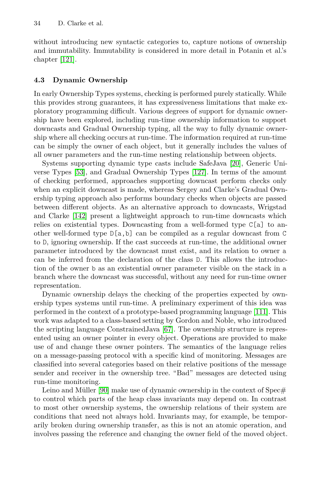without introducing new syntactic categories to, capture notions of ownership and immutability. Immutability is considered in more detail in Potanin et al.'s chapter [121].

## **4.3 Dynamic Ownership**

In early Ownership Types systems, checking [is p](#page-37-3)erformed purely statically. While this provides strong guarantees, [it h](#page-42-8)as expressiveness limitations that make exploratory programming difficult. Various degrees of support for dynamic ownership have been explored, including run-time ownership information to support downcasts and Gradual Ownership typing, all the way to fully dynamic ownership where all checking occurs at run-time. The information required at run-time can be simply the owner of each object, but it generally includes the values of all owner parameters and the run-time nesting relationship between objects.

Systems supporting dynamic type casts include SafeJava [20], Generic Universe Types [53], and Gradual Ownership Types [127]. In terms of the amount of checking performed, approaches supporting downcast perform checks only when an explicit downcast is made, whereas Sergey and Clarke's Gradual Ownership typing approach also performs boundary checks when objects are passed between different objects. As an alternative approach to downcasts, Wrigstad and Clarke [142] present a lightweight approach to run-time downcasts which relies on existential types. Downcasting from a well-formed type C[a] to another well-formed type D[a,b] can be compiled as a regular downcast from C to D, ignoring ownership. If the cast succeeds at ru[n-tim](#page-42-9)e, the additional owner parameter introduced by the downcast must exist, and its relation to owner a can be inferred from [the](#page-39-5) declaration of the class D. This allows the introduction of the owner b as an existential owner parameter visible on the stack in a branch where the downcast was successful, without any need for run-time owner representation.

Dynamic ownership delays the checking of the properties expected by ownership types systems until run-time. A preliminary experiment of this idea was performed in the context of a prototype-based programming language [111]. This wo[rk w](#page-40-5)as adapted to a class-based setting by Gordon and Noble, who introduced the scripting language ConstrainedJava [67]. The ownership structure is represented using an owner pointer in every object. Operations are provided to make use of and change these owner pointers. The semantics of the language relies on a message-passing protocol with a specific kind of monitoring. Messages are classified into several categories based on their relative positions of the message sender and receiver in the ownership tree. "Bad" messages are detected using run-time monitoring.

Leino and Müller [90] make use of dynamic ownership in the context of  $Spec#$ to control which parts of the heap class invariants may depend on. In contrast to most other ownership systems, the ownership relations of their system are conditions that need not always hold. Invariants may, for example, be temporarily broken during ownership transfer, as this is not an atomic operation, and involves passing the reference and changing the owner field of the moved object.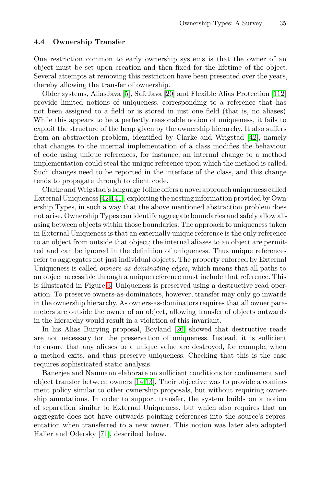## <span id="page-20-0"></span>**4.4 Ownership Transfer**

One restriction common to early ownership systems is that the owner of an object must be set upon creation and then fixed [for](#page-38-1) the lifetime of the object. Several attempts at removing this restriction have been presented over the years, thereby allowing the transfer of ownership.

Older systems, AliasJava [5], SafeJava [20] and Flexible Alias Protection [112] provide limited notions of uniqueness, corresponding to a reference that has not been assigned to a field or is stored in just one field (that is, no aliases). While this appears to be a perfectly reasonable notion of uniqueness, it fails to ex[ploi](#page-38-1)[t the](#page-43-9) structure of the heap given by the ownership hierarchy. It also suffers from an abstraction problem, identified by Clarke and Wrigstad [42], namely that changes to the internal implementation of a class modifies the behaviour of code using unique references, for instance, an internal change to a method implementation could steal the unique reference upon which the method is called. Such changes need to be reported in the interface of the class, and this change tends to propagate through to client code.

Clarke and Wrigstad's language Joline offers a novel approach uniqueness called External Uniqueness [42,141], exploiting the nesting information provided by Ownership Types, in such a way that the above mentioned abstraction problem does not a[ris](#page-21-0)e. Ownership Types can identify aggregate boundaries and safely allow aliasing between objects within those boundaries. The approach to uniqueness taken in External Uniqueness is that an externally unique reference is the only reference to an object from outside that object; the internal aliases to an object are permitted and can be ignored in the definition of uniqueness. Thus unique references refer to aggregates not just [ind](#page-37-7)ividual objects. The property enforced by External Uniqueness is called *owners-as-dominating-edges*, which means that all paths to an object accessible through a unique reference must include that reference. This is illustrated in Figure 3. Uniqueness is preserved using a destructive read operation. To preserve owners-as-dominators, however, transfer may only go inwards in the ownership hierarchy. As owners-as-dominators requires that all owner parameters are ou[tsid](#page-36-3)[e t](#page-36-4)he owner of an object, allowing transfer of objects outwards in the hierarchy would result in a violation of this invariant.

In his Alias Burying proposal, Boyland [26] showed that destructive reads are not necessary for the preservation of uniqueness. Instead, it is sufficient to ensure that any aliases to a unique value are destroyed, for example, when a method exits, and thus preserve uniqueness. Checking that this is the case re[quir](#page-39-6)es sophisticated static analysis.

Banerjee and Naumann elaborate on sufficient conditions for confinement and object transfer between owners [14,13]. Their objective was to provide a confinement policy similar to other ownership proposals, but without requiring ownership annotations. In order to support transfer, the system builds on a notion of separation similar to External Uniqueness, but which also requires that an aggregate does not have outwards pointing references into the source's representation when transferred to a new owner. This notion was later also adopted Haller and Odersky [71], described below.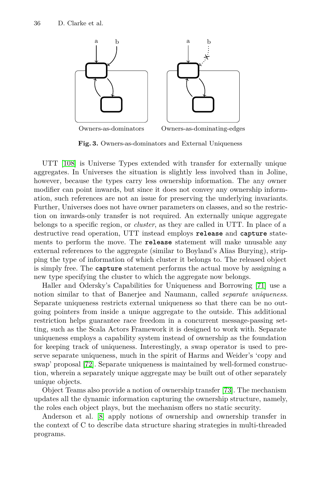<span id="page-21-0"></span>

**Fig. 3.** Owners-as-dominators and External Uniqueness

UTT [108] is Universe Types extended with transfer for externally unique aggregates. In Universes the situation is slightly less involved than in Joline, however, because the types carry less ownership information. The any owner modifier can point inwards, but since it does not convey any ownership information, such references are not an issue for preserving the underlying invariants. Further, Universes does not have owner parameters on classes, and so the restriction on inwards-only transfer is not required. An [exte](#page-39-6)rnally unique aggregate belongs to a specific region, or *cluster*, as they are called in UTT. In place of a destructive read operation, UTT instead employs **release** and **capture** statements to perform the move. The **release** statement will make unusable any external references to the aggregate (similar to Boyland's Alias Burying), stripping the type of information of which cluster it belongs to. The released object is simply free. The **capture** statement performs the actual move by assigning a new type specifying the cluster to which the aggregate now belongs.

Haller and Odersky's Capabilities for Uniqueness and Borrowing [71] use a [n](#page-40-6)otion similar to that of Banerjee and Naumann, called *separate uniqueness*. Separate uniqueness restricts external uniqueness so that there can be no outgoing pointers from inside a unique aggregate to the outside. This additional restriction helps guarantee race freedom [in](#page-40-7) a concurrent message-passing setting, such as the Scala Actors Framework it is designed to work with. Separate uniqueness employs a capability system instead of ownership as the foundation fo[r k](#page-36-5)eeping track of uniqueness. Interestingly, a swap operator is used to preserve separate uniqueness, much in the spirit of Harms and Weider's 'copy and swap' proposal [72]. Separate uniqueness is maintained by well-formed construction, wherein a separately unique aggregate may be built out of other separately unique objects.

Object Teams also provide a notion of ownership transfer [73]. The mechanism updates all the dynamic information capturing the ownership structure, namely, the roles each object plays, but the mechanism offers no static security.

Anderson et al. [8] apply notions of ownership and ownership transfer in the context of C to describe data structure sharing strategies in multi-threaded programs.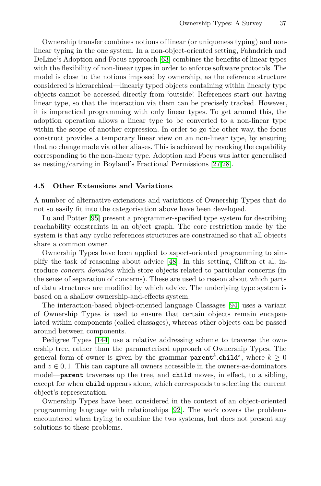Ownership transfer combines notions of linear (or uniqueness typing) and nonlinear typing in the one system. In a non-object-oriented setting, Fahndrich and DeLine's Adoption and Focus approach [63] combines the benefits of linear types with the flexibility of non-linear types in order to enforce software protocols. The model is close to the notions imposed by ownership, as the reference structure considered is hierarchical—linearly typed objects containing within linearly type objects cannot be accessed directly fr[om](#page-37-8) ['ou](#page-37-9)tside'. References start out having linear type, so that the interaction via them can be precisely tracked. However, it is impractical programming with only linear types. To get around this, the adoption operation allows a linear type to be converted to a non-linear type within the scope of another expression. In order to go the other way, the focus construct provides a temporary linear view on an non-linear type, by ensuring [tha](#page-41-3)t no change made via other aliases. This is achieved by revoking the capability corresponding to the non-linear type. Adoption and Focus was latter generalised as nesting/carving in Boyland's Fractional Permissions [27,28].

#### **4.5 Other Extensions and Variations**

A number of alternative [ex](#page-38-8)tensions and variations of Ownership Types that do not so easily fit into the categorisation above have been developed.

Lu and Potter [95] present a programmer-specified type system for describing reachability constraints in an object graph. The core restriction made by the system is that any cyclic references structur[es a](#page-41-4)re constrained so that all objects share a common owner.

Ownership Types have been applied to aspect-oriented programming to simplify the task of reasoning about advice [48]. In this setting, Clifton et al. int[rodu](#page-43-10)ce *concern domains* which store objects related to particular concerns (in the sense of separation of concerns). These are used to reason about which parts of data structures are modified by which advice. The underlying type system is based on a shallow ownership-and-effects system.

The interaction-based object-oriented language Classages [94] uses a variant of Ownership Types is used to ensure that certain objects remain encapsulated within components (called classages), whereas other objects can be passed around between components.

Pedigree Types [144] [use](#page-41-5) a relative addressing scheme to traverse the ownership tree, rather than the parameterised approach of Ownership Types. The general form of owner is given by the grammar **parent**<sup>*k*</sup>. **child**<sup> $z$ </sup>, where  $k \geq 0$ and  $z \in [0, 1]$ . This can capture all owners accessible in the owners-as-dominators model—**parent** traverses up the tree, and **child** moves, in effect, to a sibling, except for when **child** appears alone, which corresponds to selecting the current object's representation.

Ownership Types have been considered in the context of an object-oriented programming language with relationships [92]. The work covers the problems encountered when trying to combine the two systems, but does not present any solutions to these problems.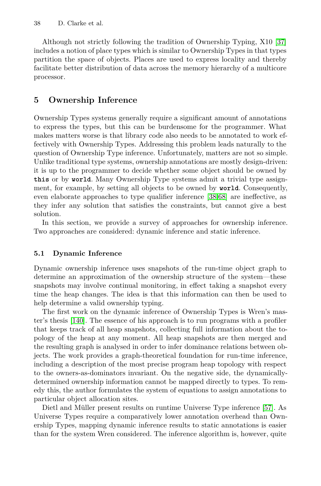Although not strictly following the tradition of Ownership Typing, X10 [37] includes a notion of place types which is similar to Ownership Types in that types partition the space of objects. Places are used to express locality and thereby facilitate better distribution of data across the memory hierarchy of a multicore processor.

## **5 Ownership Inference**

Ownership Types systems generally require a significant amount of annotations to express the types, but this can [be b](#page-38-9)[urd](#page-39-7)ensome for the programmer. What makes matters worse is that library code also needs to be annotated to work effectively with Ownership Types. Addressing this problem leads naturally to the question of Ownership Type inference. Unfortunately, matters are not so simple. Unlike traditional type systems, ownership annotations are mostly design-driven: it is up to the programmer to decide whether some object should be owned by **this** or by **world**. Many Ownership Type systems admit a trivial type assignment, for example, by setting all objects to be owned by **world**. Consequently, even elaborate approaches to type qualifier inference [38,68] are ineffective, as they infer any solution that satisfies the constraints, but cannot give a best solution.

In this section, we provide a survey of approaches for ownership inference. Two approaches are considered: dynamic inference and static inference.

#### **5.1 Dynamic Inference**

Dynamic ownership inference uses snapshots of the run-time object graph to determine an approximation of the ownership structure of the system—these snapshots may involve continual monitoring, in effect taking a snapshot every time the heap changes. The idea is that this information can then be used to help determine a valid ownership typing.

The first work on the dynamic inference of Ownership Types is Wren's master's thesis [140]. The essence of his approach is to run programs with a profiler that keeps track of all heap snapshots, collecting full information about the topology of the heap at any moment. All heap snapsh[ots](#page-39-8) are then merged and the resulting graph is analysed in order to infer dominance relations between objects. The work provides a graph-theoretical foundation for run-time inference, including a description of the most precise program heap topology with respect to the owners-as-dominators invariant. On the negative side, the dynamicallydetermined ownership information cannot be mapped directly to types. To remedy this, the author formulates the system of equations to assign annotations to particular object allocation sites.

Dietl and Müller present results on runtime Universe Type inference [57]. As Universe Types require a comparatively lower annotation overhead than Ownership Types, mapping dynamic inference results to static annotations is easier than for the system Wren considered. The inference algorithm is, however, quite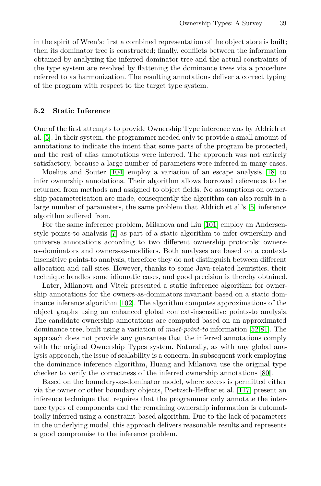in the spirit of Wren's: first a combined representation of the object store is built; then its dominator tree is constructed; finally, conflicts between the information obtained by analyzing the inferred dominator tree and the actual constraints of the type system are resolved by flattening the dominance trees via a procedure referred to as harmonization. The resulting annotations deliver a correct typing of the program with respect to the target type system.

#### **5.2 [Stat](#page-41-6)ic Inference**

One of the first attempts to provide Ownership Type inference was by Aldrich et al. [5]. In their system, the programmer needed onl[y t](#page-36-6)o provide a small amount of annotations to indicate the intent that some parts of the program be protected, and the rest of alias annotations w[ere i](#page-41-7)nferred. The approach was not entirely satisfa[ct](#page-36-7)ory, because a large number of parameters were inferred in many cases.

Moelius and Souter [104] employ a variation of an escape analysis [18] to infer ownership annotations. Their algorithm allows borrowed references to be returned from methods and assigned to object fields. No assumptions on ownership parameterisation are made, consequently the algorithm can also result in a large number of parameters, the same problem that Aldrich et al.'s [5] inference algorithm suffered from.

For the same inference problem, Milanova and Liu [101] employ an Andersenstyle poi[nts-to](#page-41-8) analysis [7] as part of a static algorithm to infer ownership and universe annotations according to two different ownership protocols: ownersas-dominators and owners-as-modifiers. Both analyses are based on a contextinsensitive points-to analysis, therefore they do no[t di](#page-38-10)[stin](#page-40-8)guish between different allocation and call sites. However, thanks to some Java-related heuristics, their technique handles some idiomatic cases, and good precision is thereby obtained.

Later, Milanova and Vitek presented a static inference algorithm for ownership annotations for the owners-as-dominators invariant based on a static dominance inference algorithm [102]. The algorithm comp[utes](#page-40-9) approximations of the object graphs using an enhanced global context-insensitive points-to analysis. The candidate ownership annotations are co[mpute](#page-42-10)d based on an approximated dominance tree, built using a variation of *must-point-to* information [52,81]. The approach does not provide any guarantee that the inferred annotations comply with the original Ownership Types system. Naturally, as with any global analysis approach, the issue of scalability is a concern. In subsequent work employing the dominance inference algorithm, Huang and Milanova use the original type checker to verify the correctness of the inferred ownership annotations [80].

Based on the boundary-as-dominator model, where access is permitted either via the owner or other boundary objects, Poetzsch-Heffter et al. [117] present an inference technique that requires that the programmer only annotate the interface types of components and the remaining ownership information is automatically inferred using a constraint-based algorithm. Due to the lack of parameters in the underlying model, this approach delivers reasonable results and represents a good compromise to the inference problem.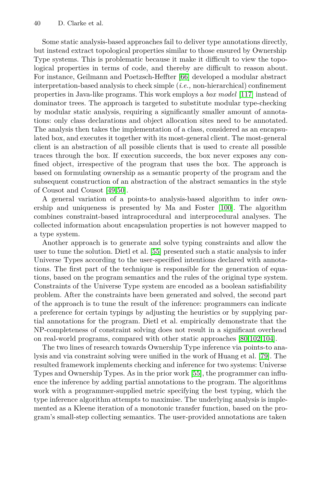Some static analysis-based approaches fail to deliver type annotations directly, but instead extract topological properties similar to those ensured by Ownership Type systems. This is problematic because it make it difficult to view the topological properties in terms of code, and thereby are difficult to reason about. For instance, Geilmann and Poetzsch-Heffter [66] developed a modular abstract interpretation-based analysis to check simple (*i.e.,* non-hierarchical) confinement properties in Java-like programs. This work employs a *box model* [117] instead of dominator trees. The approach is targeted to substitute modular type-checking by modular static analysis, requiring a significantly smaller amount of annotations[: o](#page-38-11)[nly](#page-38-12) class declarations and object allocation sites need to be annotated. The analysis then takes the implementation of a class, considered as an encapsulated box, and executes it together with i[ts mo](#page-41-9)st-general client. The most-general client is an abstraction of all possible clients that is used to create all possible traces through the box. If execution succeeds, the box never exposes any confined object, irrespective of the program that uses the box. The approach is based on formulating ownership as a semantic property of the program and the subsequent constr[uctio](#page-39-9)n of an abstraction of the abstract semantics in the style of Cousot and Cousot [49,50].

A general variation of a points-to analysis-based algorithm to infer ownership and uniqueness is presented by Ma and Foster [100]. The algorithm combines constraint-based intraprocedural and interprocedural analyses. The collected information about encapsulation properties is not however mapped to a type system.

Another approach is to generate and solve typing constraints and allow the user to tune the solution. Dietl et al. [55] presented such a static analysis to infer Universe Types according to the user-specified intentions declared with annotations. The first part of the technique is respo[nsib](#page-40-9)[le f](#page-41-8)[or th](#page-41-6)e generation of equations, based on the program semantics and the rules of the original type system. Constraints of the Universe Type system are encode[d as](#page-40-10) a boolean satisfiability problem. After the constraints have been generated and solved, the second part of the approach is to tune the r[esul](#page-39-9)t of the inference: programmers can indicate a preference for certain typings by adjusting the heuristics or by supplying partial annotations for the program. Dietl et al. empirically demonstrate that the NP-completeness of constraint solving does not result in a significant overhead on real-world programs, compared with other static approaches [80,102,104].

The two lines of research towards Ownership Type inference via points-to analysis and via constraint solving were unified in the work of Huang et al. [79]. The resulted framework implements checking and inference for two systems: Universe Types and Ownership Types. As in the prior work [55], the programmer can influence the inference by adding partial annotations to the program. The algorithms work with a programmer-supplied metric specifying the best typing, which the type inference algorithm attempts to maximise. The underlying analysis is implemented as a Kleene iteration of a monotonic transfer function, based on the program's small-step collecting semantics. The user-provided annotations are taken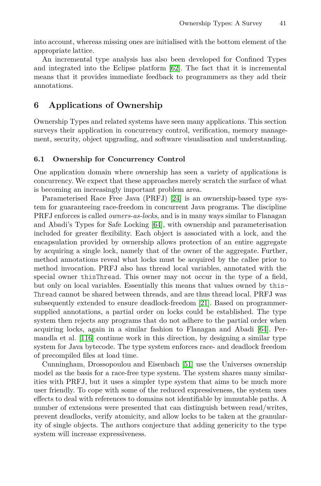<span id="page-26-0"></span>into account, whereas missing ones are initialised with the bottom element of the appropriate lattice.

An incremental type analysis has also been developed for Confined Types and integrated into the Eclipse platform [62]. The fact that it is incremental means that it provides immediate feedback to programmers as they add their annotations.

## **6 Applications of Ownership**

Ownership Types and related systems have seen many applications. This section surveys their application [in](#page-37-10) concurrency control, verification, memory management, security, object upgrading, and software visualisation and understanding.

### **6.1 Ownership [for](#page-39-10) Concurrency Control**

One application domain where ownership has seen a variety of applications is concurrency. We expect that these approaches merely scratch the surface of what is becoming an increasingly important problem area.

Parameterised Race Free Java (PRFJ) [24] is an ownership-based type system for guaranteeing race-freedom in concurrent Java programs. The discipline PRFJ enforces is called *owners-as-locks*, and is in many ways similar to Flanagan and Abadi's Types for Safe Locking [64], with ownership and parameterisation included for greater flexibility. E[ach](#page-37-11) object is associated with a lock, and the encapsulation provided by ownership allows protection of an entire aggregate by acquiring a single lock, namely that of the owner of the aggregate. Further, method annotations reveal what locks must be acq[uire](#page-39-10)d by the callee prior to [m](#page-42-11)ethod invocation. PRFJ also has thread local variables, annotated with the special owner thisThread. This owner may not occur in the type of a field, but only on local variables. Essentially this means that values owned by this-Thread cannot be shared bet[wee](#page-38-7)n threads, and are thus thread local. PRFJ was subsequently extended to ensure deadlock-freedom [21]. Based on programmersupplied annotations, a partial order on locks could be established. The type system then rejects any programs that do not adhere to the partial order when acquiring locks, again in a similar fashion to Flanagan and Abadi [64]. Permandla et al. [116] continue work in this direction, by designing a similar type system for Java bytecode. The type system enforces race- and deadlock freedom of precompiled files at load time.

Cunningham, Drossopoulou and Eisenbach [51] use the Universes ownership model as the basis for a race-free type system. The system shares many similarities with PRFJ, but it uses a simpler type system that aims to be much more user friendly. To cope with some of the reduced expressiveness, the system uses effects to deal with references to domains not identifiable by immutable paths. A number of extensions were presented that can distinguish between read/writes, prevent deadlocks, verify atomicity, and allow locks to be taken at the granularity of single objects. The authors conjecture that adding genericity to the type system will increase expressiveness.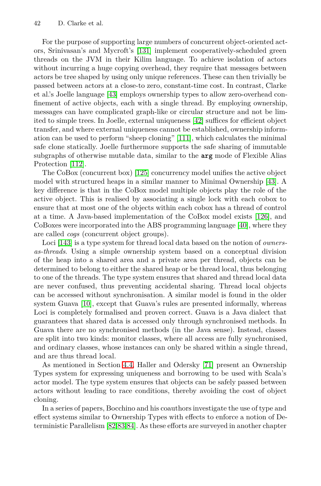For the purpose of supporting large numbers of concurrent object-oriented actors, Srinivasan's and Mycroft's [\[13](#page-38-1)1] implement cooperatively-scheduled green threads on the JVM in their Kilim language. To achieve isolation of actors without incurring a huge c[opyin](#page-42-9)g overhead, they require that messages between actors be tree shaped by using only unique references. These can then trivially be passed between actors at a close-to zero, constant-time cost. In contrast, Clarke et al.'s Joelle language [43] employs ownership types to allow zero-overhead confinement of a[ctive](#page-42-12) objects, each with a single thread. By employing ownership, messages can have complicated graph-like or circular s[tru](#page-38-13)cture and not be limited to simple trees. In Joelle, external uniqueness [42] suffices for efficient object transfer, and where external uniqueness cannot be established, ownership information can be used to perform "sheep cloning" [111], which calculates the minimal safe clone statically. Joelle furthermore supports th[e saf](#page-42-13)e sharing of immutable subgraphs of otherwise mutable data, similar [to t](#page-38-14)he **arg** mode of Flexible Alias Protection [112].

The CoBox (concurrent box) [125] concurrency model unifies the active object model with structured heaps in a similar manner to Minimal Ownership [43]. A key difference is that in the CoBox model multiple objects play the role of the active object. This is realised by associating a single lock with each cobox to ensure that at most one of the objects within each cobox has a thread of control at a time. A Java-based implementation of the CoBox model exists [126], and CoBoxes were incorporated into the ABS programming language [40], where they are called *cogs* (concurrent object groups).

Loci [143] is a type system for thread local data based on the notion of *ownersas-threads*. Using a simple ownership system based on a conceptual division of the heap into a shared area and a private area per thread, objects can be determined to belong to either the shared heap or be thread local, thus belonging to one of the threads. The type system ensures that shared and thread local data are never confused, thus preventing accidental sharing. Thread local objects can be ac[cess](#page-20-0)ed without synchronis[atio](#page-39-6)n. A similar model is found in the older system Guava [10], except that Guava's rules are presented informally, whereas Loci is completely formalised and proven correct. Guava is a Java dialect that guarantees that shared data is accessed only through synchronised methods. In Guava there are no synchronised methods (in the Java sense). Instead, classes are split into two kinds: monitor classes, where all access are fully synchronised, and ordinary classes, whose instances can only be shared within a single thread, and [are](#page-40-2) [thu](#page-40-3)[s t](#page-40-4)hread local.

As mentioned in Section 4.4, Haller and Odersky [71] present an Ownership Types system for expressing uniqueness and borrowing to be used with Scala's actor model. The type system ensures that objects can be safely passed between actors without leading to race conditions, thereby avoiding the cost of object cloning.

In a series of papers, Bocchino and his coauthors investigate the use of type and effect systems similar to Ownership Types with effects to enforce a notion of Deterministic Parallelism [82,83,84]. As these efforts are surveyed in another chapter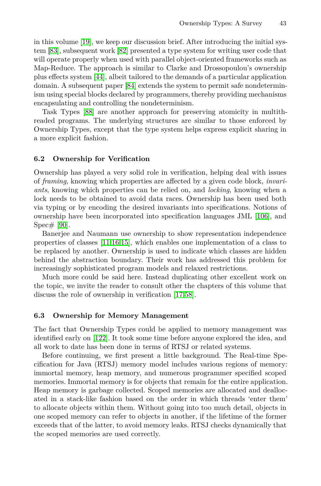[in](#page-40-11) this volume [19], we keep our discussion brief. After introducing the initial system [83], subsequent work [82] presented a type system for writing user code that will operate properly when used with parallel object-oriented frameworks such as Map-Reduce. The approach is similar to Clarke and Drossopoulou's ownership plus effects system [44], albeit tailored to the demands of a particular application domain. A subsequent paper [84] extends the system to permit safe nondeterminism using special blocks declared by programmers, thereby providing mechanisms encapsulating and controlling the nondeterminism.

Task Types [88] are another approach for preserving atomicity in multithreaded programs. The underlying structures are similar to those enforced by Ownership Types, except that the type system helps express explicit sharing in a more explicit fashion.

#### **6.2 Ownership for Verification**

<span id="page-28-0"></span>O[wner](#page-36-8)[shi](#page-37-12)[p h](#page-37-13)as played a very solid role in verification, helping deal with issues of *framing*, knowing which properties are affected by a given code block, *invariants*, knowing which properties can be relied on, and *locking*, knowing when a lock needs to be obtained to avoid data races. Ownership has been used both via typing or by encoding the desired invariants into specifications. Notions of ownership have been incorporated into specification languages JML [106], and  $Spec\#$  [90].

Banerjee and Nauman[n](#page-37-14) [us](#page-37-14)[e](#page-39-11) [o](#page-39-11)wnership to show representation independence properties of classes [11,16,15], which enables one implementation of a class to be replaced by another. Ownership is used to indicate which classes are hidden behind the abstraction boundary. Their work has addressed this problem for i[ncrea](#page-42-14)singly sophisticated program models and relaxed restrictions.

Much more could be said here. Instead duplicating other excellent work on the topic, we invite the reader to consult other the chapters of this volume that discuss the role of ownership in verification [17,58].

### **6.3 Ownership for Memory Management**

The fact that Ownership Types could be applied to memory management was identified early on [122]. It took some time before anyone explored the idea, and all work to date has been done in terms of RTSJ or related systems.

Before continuing, we first present a little background. The Real-time Specification for Java (RTSJ) memory model includes various regions of memory: immortal memory, heap memory, and numerous programmer specified scoped memories. Immortal memory is for objects that remain for the entire application. Heap memory is garbage collected. Scoped memories are allocated and deallocated in a stack-like fashion based on the order in which threads 'enter them' to allocate objects within them. Without going into too much detail, objects in one scoped memory can refer to objects in another, if the lifetime of the former exceeds that of the latter, to avoid memory leaks. RTSJ checks dynamically that the scoped memories are used correctly.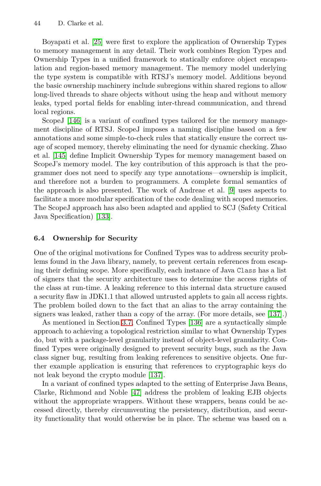Boyapati et al. [25] were first to explore the application of Ownership Types to memory management in any detail. Their work combines Region Types and Ownership Types in a unified framework to statically enforce object encapsulation and region-based memory management. The memory model underlying the type system is compatible with RTSJ's memory model. Additions beyond the basic ownership machinery include subregions within shared regions to allow long-lived threads to share objects without using the heap and without memory leaks, typed portal fields for enabling inter-thread communication, and thread local regions.

ScopeJ [146] is a variant of confined typ[es](#page-36-2) tailored for the memory management discipline of RTSJ. ScopeJ imposes a naming discipline based on a few annotations and some simple-to-check rules that statically ensure the correct usa[ge of](#page-43-5) scoped memory, thereby eliminating the need for dynamic checking. Zhao et al. [145] define Implicit Ownership Types for memory management based on ScopeJ's memory model. The key contribution of this approach is that the programmer does not need to specify any type annotations—ownership is implicit, and therefore not a burden to programmers. A complete formal semantics of the approach is also presented. The work of Andreae et al. [9] uses aspects to facilitate a more modular specification of the code dealing with scoped memories. The ScopeJ approach has also been adapted and applied to SCJ (Safety Critical Java Specification) [133].

## **6.4 Ownership for Security**

One of th[e or](#page-14-0)iginal motivations [for C](#page-43-2)onfined Types was [to](#page-43-3) [ad](#page-43-3)dress security problems found in the Java library, namely, to prevent certain references from escaping their defining scope. More specifically, each instance of Java Class has a list of signers that the security architecture uses to determine the access rights of the class at run-time. A leaking reference to this internal data structure caused a security flaw in JDK1.1 that allowed untrusted applets to gain all access rights. The problem boile[d do](#page-43-3)wn to the fact that an alias to the array containing the signers was leaked, rather than a copy of the array. (For more details, see [137].)

As mentio[ned](#page-38-5) in Section 3.7, Confined Types [136] are a syntactically simple approach to achieving a topological restriction similar to what Ownership Types do, but with a package-level granularity instead of object-level granularity. Confined Types were originally designed to prevent security bugs, such as the Java class signer bug, resulting from leaking references to sensitive objects. One further example application is ensuring that references to cryptographic keys do not leak beyond the crypto module [137].

In a variant of confined types adapted to the setting of Enterprise Java Beans, Clarke, Richmond and Noble [47] address the problem of leaking EJB objects without the appropriate wrappers. Without these wrappers, beans could be accessed directly, thereby circumventing the persistency, distribution, and security functionality that would otherwise be in place. The scheme was based on a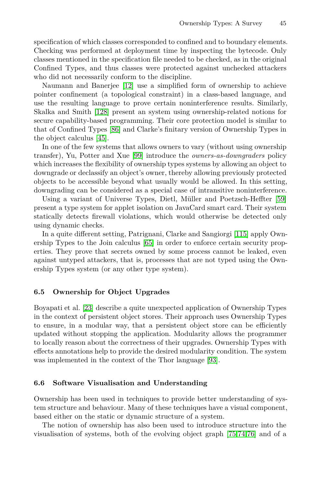s[pecifi](#page-42-15)cation of which classes corresponded to confined and to boundary elements. Checking was performed at deployment time by inspecting the bytecode. Only classe[s me](#page-40-12)ntioned in the specification file needed to be checked, as in the original C[onfi](#page-38-15)ned Types, and thus classes were protected against unchecked attackers who did not necessarily conform to the discipline.

Naumann [and](#page-41-10) Banerjee [12] use a simplified form of ownership to achieve pointer confinement (a topological constraint) in a class-based language, and use the resulting language to prove certain noninterference results. Similarly, Skalka and Smith [128] present an system using ownership-related notions for secure capability-based programming. Their core protection model is similar to that of Confined Types [86] and Clarke's finitary version o[f O](#page-39-12)wnership Types in the object calculus [45].

In one of the few systems that allows owners to vary (without using ownership transfer), Yu, Potter and Xue [99] introduce the *owners-as-downgraders* policy which increases the flexibility of ownership typ[es sy](#page-42-16)stems by allowing an object to downgrade or de[clas](#page-39-13)sify an object's owner, thereby allowing previously protected objects to be accessible beyond what usually would be allowed. In this setting, downgrading can be considered as a special case of intransitive noninterference.

Using a variant of Universe Types, Dietl, Müller and Poetzsch-Heffter [59] present a type system for applet isolation on JavaCard smart card. Their system statically detects firewall violations, which would otherwise be detected only using dynamic checks.

In a quite different setting, Patrignani, Clarke and Sangiorgi [115] apply Own[e](#page-37-6)rship Types to the Join calculus [65] in order to enforce certain security properties. They prove that secrets owned by some process cannot be leaked, even against untyped attackers, that is, processes that are not typed using the Ownership Types system (or any other type system).

#### **6.5 Ownership for Object Upg[rad](#page-41-11)es**

Boyapati et al. [23] describe a quite unexpected application of Ownership Types in the context of persistent object stores. Their approach uses Ownership Types to ensure, in a modular way, that a persistent object store can be efficiently updated without stopping the application. Modularity allows the programmer to locally reason about the correctness of their upgrades. Ownership Types with effects annotations help to provide the desired modularity condition. The system was implemented in the context of the Thor language [93].

## **6.6 Software Visualisation and Understanding**

Ownership has been used in techniques to provide better understanding of system structure and behaviour. Many of these techniques have a visual component, based either on the static or dynamic structure of a system.

The notion of ownership has also been used to introduce structure into the visualisation of systems, both of the evolving object graph [75,74,76] and of a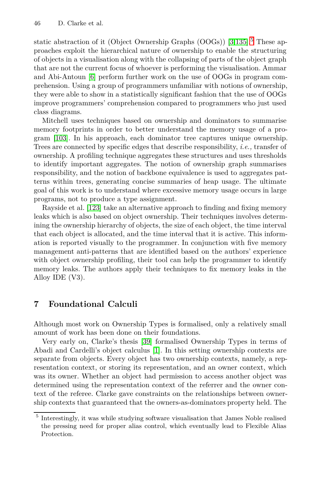static abstraction of it (Object Ownership Graphs  $(OOGs)$ ) [3,135].<sup>5</sup> These approaches exploit the hierarchical nature of ownership to enable the structuring of objects in a visualisation along with the collapsing of parts of the object graph that are not the current focus of whoever is performing the visualisation. Ammar and Abi-Antoun [6] perform further work on the use of OOGs in program comprehension. Using a group of programmers unfamiliar with notions of ownership, they were able to show in a statistically significant fashion that the use of OOGs improve programmers' comprehension compared to programmers who just used class diagrams.

Mitchell uses techniques based on ownership and dominators to summarise memory footprints in order to better understand the memory usage of a pro[gra](#page-42-17)m [103]. In his approach, each dominator tree captures unique ownership. Trees are connected by specific edges that describe responsibility, *i.e.,* transfer of ownership. A profiling technique aggregates these structures and uses thresholds to identify important aggregates. The notion of ownership graph summarises responsibility, and the notion of backbone equivalence is used to aggregates patterns within trees, generating concise summaries of heap usage. The ultimate goal of this work is to understand where excessive memory usage occurs in large programs, not to produce a type assignment.

Rayside et al. [123] take an alternative approach to finding and fixing memory leaks which is also based on object ownership. Their techniques involves determining the ownership hierarchy of objects, the size of each object, the time interval that each object is allocated, and the time interval that it is active. This information is reported visually to the programmer. In conjunction with five memory management anti-patterns that are identified based on the authors' experience with object ownership profiling, their tool can help the programmer to identify memory leaks. [The](#page-38-3) authors apply their techniques to fix memory leaks in the Alloy IDE (V3).

## **7 Foundational Calculi**

Although most work on Ownership Types is formalised, only a relatively small amount of work has been done on their foundations.

Very early on, Clarke's thesis [39] formalised Ownership Types in terms of Abadi and Cardelli's object calculus [1]. In this setting ownership contexts are separate from objects. Every object has two ownership contexts, namely, a representation context, or storing its representation, and an owner context, which was its owner. Whether an object had permission to access another object was determined using the representation context of the referrer and the owner context of the referee. Clarke gave constraints on the relationships between ownership contexts that guaranteed that the owners-as-dominators property held. The

<sup>5</sup> Interestingly, it was while studying software visualisation that James Noble realised the pressing need for proper alias control, which eventually lead to Flexible Alias Protection.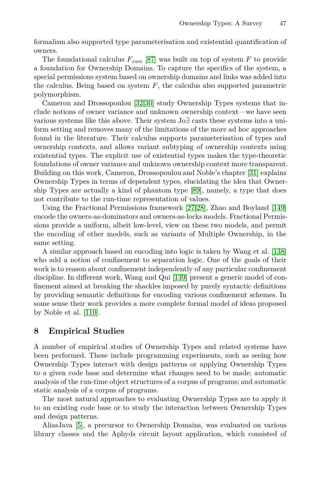formalism als[o](#page-37-15) [su](#page-37-15)[pp](#page-37-16)orted type parameterisation and existential quantification of owners.

The foundational calculus  $F_{own}$  [87] was built on top of system  $F$  to provide a foundation for Ownership Domains. To capture the specifics of the system, a special permissions system based on ownership domains and links was added into the calculus. Being based on system  $F$ , the calculus also supported parametric polymorphism.

Cameron and Drossopoulou [32,30] study Ow[ners](#page-37-17)hip Types systems that include notions of owner variance and unknown ownership context—we have seen various systems like this above. [Th](#page-40-13)eir system Jo∃ casts these systems into a uniform setting and removes many of the limitations of the more ad hoc approaches found in the literature. Their [ca](#page-37-8)[lcu](#page-37-9)lus supports parame[terisa](#page-43-11)tion of types and ownership contexts, and allows variant subtyping of ownership contexts using existential types. The explicit use of existential types makes the type-theoretic foundations of owner variance and unknown ownership context more transparent. Building on this work, Cameron, Drossopoulou and Noble's chapter [31] explains Ownership Types in terms of dependent types, elucidatin[g th](#page-43-12)e idea that Ownership Types are actually a kind of phantom type [89], namely, a type that does not contribute to the run-time representation of values.

<span id="page-32-0"></span>Using the Fractional P[ermis](#page-43-13)sions framework [27,28], Zhao and Boyland [149] encode the owners-as-dominators and owners-as-locks models. Fractional Permissions provide a uniform, albeit low-level, view on these two models, and permit the encoding of other models, such as variants of Multiple Ownership, in the [sa](#page-41-12)me setting.

A similar approach based on encoding into logic is taken by Wang et al. [138] who add a notion of confinement to separation logic. One of the goals of their work is to reason about confinement independently of any particular confinement discipline. In different work, Wang and Qui [139] present a generic model of confinement aimed at breaking the shackles imposed by purely syntactic definitions by providing semantic definitions for encoding various confinement schemes. In some sense their work provides a more complete formal model of ideas proposed by Noble et al. [110].

## **8 Empirical Studies**

A number of empirical studies of Ownership Types and related systems have been performed. These include programming experiments, such as seeing how Ownership Types interact with design patterns or applying Ownership Types to a given code base and determine what changes need to be made; automatic analysis of the run-time object structures of a corpus of programs; and automatic static analysis of a corpus of programs.

The most natural approaches to evaluating Ownership Types are to apply it to an existing code base or to study the interaction between Ownership Types and design patterns.

AliasJava [5], a precursor to Ownership Domains, was evaluated on various library classes and the Aphyds circuit layout application, which consisted of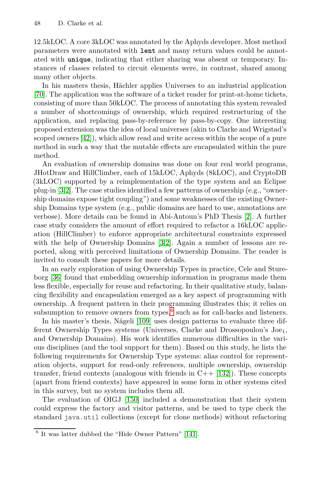12.5kLOC. A core 3kLOC was annotated by the Aphyds developer. Most method parameters were annotated with **lent** and many return values could be annotated with **unique**, indicating that either sharing was absent or temporary. Instances of classes related to circuit elements were, in contrast, shared among many other objects.

In his masters thesis, Hächler applies Universes to an industrial application [70]. The application was the software of a ticket reader for print-at-home tickets, consisting of more than 50kLOC. The process of annotating this system revealed a number of shortcomings of ownership, which required restructuring of the application, and replacing pass-by-reference by pass-by-copy. One interesting proposed extension was the idea of local universes (akin to Clarke and Wrigstad's scoped owners [42]), which allow read and write access within the scope of a pure method in such a way that the mutable effects a[re](#page-36-9) encapsulated within the pure method.

An evaluation of ownership domains was done on four real world programs, JHotDraw and HillCl[im](#page-36-1)[b](#page-36-9)er, each of 15kLOC, Aphyds (8kLOC), and CryptoDB (3kLOC) supported by a reimplementation of the type system and an Eclipse plug-in [3,2]. The case studies identified a few patterns of ownership (e.g., "ownership domains expose tight coupling") and some weaknesses of the existing Ownership Domains type system (e.g., public domains are hard to use, annotations are verbose). More details can be found in Abi-Antoun's PhD Thesis [2]. A further case study considers the amount of effort required to refactor a 16kLOC application (HillClimber) to enforce appropriate architectural constraints expressed with the help of Owner[sh](#page-33-0)ip Domains [3,2]. Again a number of lessons are reported, along [with](#page-41-13) perceived limitations of Ownership Domains. The reader is invited to consult these papers for more details.

In an early exploration of using Ownership Types in practice, Cele and Stureborg [36] found that embedding ownership information in programs made them less flexible, especially for reuse and refactoring. In their qualitative study, balancing flexibility and encapsulation emerged as a key aspect of programming with ownership. A frequent pattern in their [progr](#page-43-14)amming illustrates this; it relies on subsumption to remove owners from types, $6$  such as for call-backs and listeners.

<span id="page-33-0"></span>In his master's thesis, Nägeli [109] uses design patterns to evaluate three different Ow[nersh](#page-43-8)ip Types systems (Universes, Clarke and Drossopoulou's  $Joe<sub>1</sub>$ , and Ownership Domains). His work identifies numerous difficulties in the various disciplines (and the tool support for them). Based on this study, he lists the following requirements for Ownership Type systems: alias control for representation objects, support for re[ad-o](#page-43-9)nly references, multiple ownership, ownership transfer, friend contexts (analogous with friends in  $C++$  [132]). These concepts (apart from friend contexts) have appeared in some form in other systems cited in this survey, but no system includes them all.

The evaluation of OIGJ [150] included a demonstration that their system could express the factory and visitor patterns, and be used to type check the standard java.util collections (except for clone methods) without refactoring

 $6$  It was latter dubbed the "Hide Owner Pattern" [141].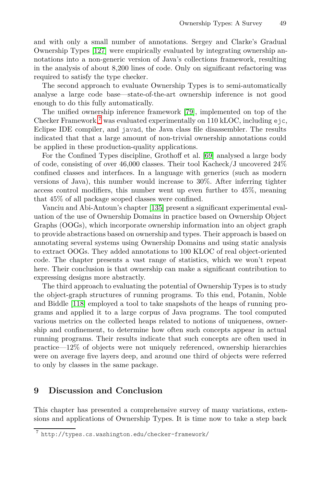and with only a small num[ber](#page-40-10) of annotations. Sergey and Clarke's Gradual O[w](#page-34-1)nership Types [127] were empirically evaluated by integrating ownership annotations into a non-generic version of Java's collections framework, resulting in the analysis of about 8,200 lines of code. Only on significant refactoring was required to satisfy the type checker.

The second approach to evaluat[e O](#page-39-4)wnership Types is to semi-automatically analyse a large code base—state-of-the-art ownership inference is not good enough to do this fully automatically.

The unified ownership inference framework [79], implemented on top of the Checker Framework,<sup>7</sup> was evaluated experimentally on 110 kLOC, including  $e$ <sub>j</sub>c, Eclipse IDE compiler, and javad, the Java class file disassembler. The results indicated that tha[t a l](#page-43-15)arge amount of non-trivial ownership annotations could be applied in these production-quality applications.

For the Confined Types discipline, Grothoff et al. [69] analysed a large body of code, consisting of over 46,000 classes. Their tool Kacheck/J uncovered 24% confined classes and interfaces. In a language with generics (such as modern versions of Java), this number would increase to 30%. After inferring tighter access control modifiers, this number went up even further to 45%, meaning that 45% of all package scoped classes were confined.

Vanciu and Abi-Antoun's chapter [135] present a significant experimental evaluation of the use of Ownership Domains in practice based on Ownership Object Graphs (OOGs), which incorporate ownership information into an object graph to provide abstractions based on ownership and types. Their approach is based on annotating several systems using Ownership Domains and using static analysis to extract OOGs. They added annotations to 100 KLOC of real object-oriented code. The chapter presents a vast range of statistics, which we won't repeat here. Their conclusion is that ownership can make a significant contribution to expressing designs more abstractly.

<span id="page-34-1"></span><span id="page-34-0"></span>The third approach to evaluating the potential of Ownership Types is to study the object-graph structures of running programs. To this end, Potanin, Noble and Biddle [118] employed a tool to take snapshots of the heaps of running programs and applied it to a large corpus of Java programs. The tool computed various metrics on the collected heaps related to notions of uniqueness, ownership and confinement, to determine how often such concepts appear in actual running programs. Their results indicate that such concepts are often used in practice—12% of objects were not uniquely referenced, ownership hierarchies were on average five layers deep, and around one third of objects were referred to only by classes in the same package.

## **9 Discussion and Conclusion**

This chapter has presented a comprehensive survey of many variations, extensions and applications of Ownership Types. It is time now to take a step back

<sup>7</sup> http://types.cs.washington.edu/checker-framework/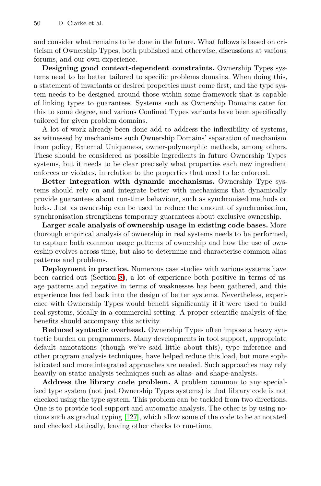and consider what remains to be done in the future. What follows is based on criticism of Ownership Types, both published and otherwise, discussions at various forums, and our own experience.

**Designing good context-dependent constraints.** Ownership Types systems need to be better tailored to specific problems domains. When doing this, a statement of invariants or desired properties must come first, and the type system needs to be designed around those within some framework that is capable of linking types to guarantees. Systems such as Ownership Domains cater for this to some degree, and various Confined Types variants have been specifically tailored for given problem domains.

A lot of work already been done add to address the inflexibility of systems, as witnessed by mechanisms such Ownership Domains' separation of mechanism from policy, External Uniqueness, owner-polymorphic methods, among others. These should be considered as possible ingredients in future Ownership Types systems, but it needs to be clear precisely what properties each new ingredient enforces or violates, in relation to the properties that need to be enforced.

**Better integration with dynamic mechanisms.** Ownership Type systems should rely on and integrate better with mechanisms that dynamically provide guarantees about run-time behaviour, such as synchronised methods or locks. J[ust](#page-32-0) as ownership can be used to reduce the amount of synchronisation, synchronisation strengthens temporary guarantees about exclusive ownership.

**Larger scale analysis of ownership usage in existing code bases.** More thorough empirical analysis of ownership in real systems needs to be performed, to capture both common usage patterns of ownership and how the use of ownership evolves across time, but also to determine and characterise common alias patterns and problems.

**Deployment in practice.** Numerous case studies with various systems have been carried out (Section 8), a lot of experience both positive in terms of usage patterns and negative in terms of weaknesses has been gathered, and this experience has fed back into the design of better systems. Nevertheless, experience with Ownership Types would benefit significantly if it were used to build real systems, ideally in a commercial setting. A proper scientific analysis of the benefits should accompany this activity.

**Reduced syntactic overhead.** Ownership Types often impose a heavy syntactic burden on programmers. Many developments in tool support, appropriate default an[nota](#page-42-8)tions (though we've said little about this), type inference and other program analysis techniques, have helped reduce this load, but more sophisticated and more integrated approaches are needed. Such approaches may rely heavily on static analysis techniques such as alias- and shape-analysis.

**Address the library code problem.** A problem common to any specialised type system (not just Ownership Types systems) is that library code is not checked using the type system. This problem can be tackled from two directions. One is to provide tool support and automatic analysis. The other is by using notions such as gradual typing [127], which allow some of the code to be annotated and checked statically, leaving other checks to run-time.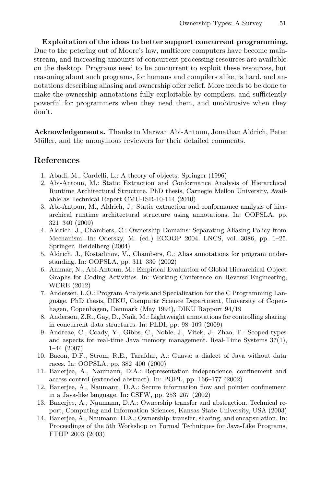**Exploitation of the ideas to better support concurrent programming.** Due to the petering out of Moore's law, multicore computers have become mainstream, and increasing amounts of concurrent processing resources are available on the desktop. Programs need to be concurrent to exploit these resources, but reasoning about such programs, for humans and compilers alike, is hard, and annotations describing aliasing and ownership offer relief. More needs to be done to make the ownership annotations fully exploitable by compilers, and sufficiently powerful for programmers when they need them, and unobtrusive when they don't.

<span id="page-36-9"></span><span id="page-36-1"></span>**Acknowledgements.** Thanks to Marwan Abi-Antoun, Jonathan Aldrich, Peter Müller, and the anonymous reviewers for their detailed comments.

## **References**

- <span id="page-36-0"></span>1. Abadi, M., Cardelli, L.: A theory of objects. Springer (1996)
- <span id="page-36-6"></span>2. Abi-Antoun, M.: Static Extraction and Conformance Analysis of Hierarchical Runtime Architectural Structure. PhD thesis, Carnegie Mellon University, Available as Technical Report CMU-ISR-10-114 (2010)
- 3. Abi-Antoun, M., Aldrich, J.: Static extraction and conformance analysis of hierarchical runtime architectural structure using annotations. In: OOPSLA, pp. 321–340 (2009)
- <span id="page-36-7"></span>4. Aldrich, J., Chambers, C.: Ownership Domains: Separating Aliasing Policy from Mechanism. In: Odersky, M. (ed.) ECOOP 2004. LNCS, vol. 3086, pp. 1–25. Springer, Heidelberg (2004)
- <span id="page-36-5"></span>5. Aldrich, J., Kostadinov, V., Chambers, C.: Alias annotations for program understanding. In: OOPSLA, pp. 311–330 (2002)
- <span id="page-36-2"></span>6. Ammar, N., Abi-Antoun, M.: Empirical Evaluation of Global Hierarchical Object Graphs for Coding Activities. In: Working Conference on Reverse Engineering, WCRE (2012)
- <span id="page-36-8"></span>7. Andersen, L.O.: Program Analysis and Specialization for the C Programming Language. PhD thesis, DIKU, Computer Science Department, University of Copenhagen, Copenhagen, Denmark (May 1994), DIKU Rapport 94/19
- 8. Anderson, Z.R., Gay, D., Naik, M.: Lightweight annotations for controlling sharing in concurrent data structures. In: PLDI, pp. 98–109 (2009)
- <span id="page-36-4"></span>9. Andreae, C., Coady, Y., Gibbs, C., Noble, J., Vitek, J., Zhao, T.: Scoped types and aspects for real-time Java memory management. Real-Time Systems 37(1), 1–44 (2007)
- <span id="page-36-3"></span>10. Bacon, D.F., Strom, R.E., Tarafdar, A.: Guava: a dialect of Java without data races. In: OOPSLA, pp. 382–400 (2000)
- 11. Banerjee, A., Naumann, D.A.: Representation independence, confinement and access control (extended abstract). In: POPL, pp. 166–177 (2002)
- 12. Banerjee, A., Naumann, D.A.: Secure information flow and pointer confinement in a Java-like language. In: CSFW, pp. 253–267 (2002)
- 13. Banerjee, A., Naumann, D.A.: Ownership transfer and abstraction. Technical report, Computing and Information Sciences, Kansas State University, USA (2003)
- 14. Banerjee, A., Naumann, D.A.: Ownership: transfer, sharing, and encapsulation. In: Proceedings of the 5th Workshop on Formal Techniques for Java-Like Programs, FTfJP 2003 (2003)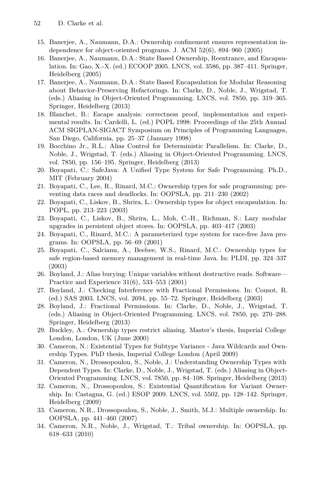- <span id="page-37-14"></span><span id="page-37-13"></span><span id="page-37-12"></span>15. Banerjee, A., Naumann, D.A.: Ownership confinement ensures representation independence for object-oriented programs. J. ACM 52(6), 894–960 (2005)
- 16. Banerjee, A., Naumann, D.A.: State Based Ownership, Reentrance, and Encapsulation. In: Gao, X.-X. (ed.) ECOOP 2005. LNCS, vol. 3586, pp. 387–411. Springer, Heidelberg (2005)
- <span id="page-37-5"></span>17. Banerjee, A., Naumann, D.A.: State Based Encapsulation for Modular Reasoning about Behavior-Preserving Refactorings. In: Clarke, D., Noble, J., Wrigstad, T. (eds.) Aliasing in Object-Oriented Programming. LNCS, vol. 7850, pp. 319–365. Springer, Heidelberg (2013)
- <span id="page-37-11"></span><span id="page-37-3"></span>18. Blanchet, B.: Escape analysis: correctness proof, implementation and experimental results. In: Cardelli, L. (ed.) POPL 1998: Proceedings of the 25th Annual ACM SIGPLAN-SIGACT Symposium on Principles of Programming Languages, San Diego, California, pp. 25–37 (January 1998)
- <span id="page-37-6"></span><span id="page-37-4"></span>19. Bocchino Jr., R.L.: Alias Control for Deterministic Parallelism. In: Clarke, D., Noble, J., Wrigstad, T. (eds.) Aliasing in Object-Oriented Programming. LNCS, vol. 7850, pp. 156–195. Springer, Heidelberg (2013)
- <span id="page-37-10"></span>20. Boyapati, C.: SafeJava: A Unified Type System for Safe Programming. Ph.D., MIT (February 2004)
- <span id="page-37-1"></span>21. Boyapati, C., Lee, R., Rinard, M.C.: Ownership types for safe programming: preventing data races and deadlocks. In: OOPSLA, pp. 211–230 (2002)
- <span id="page-37-7"></span>22. Boyapati, C., Liskov, B., Shrira, L.: Ownership types for object encapsulation. In: POPL, pp. 213–223 (2003)
- <span id="page-37-8"></span>23. Boyapati, C., Liskov, B., Shrira, L., Moh, C.-H., Richman, S.: Lazy modular upgrades in persistent object stores. In: OOPSLA, pp. 403–417 (2003)
- <span id="page-37-9"></span>24. Boyapati, C., Rinard, M.C.: A parameterized type system for race-free Java programs. In: OOPSLA, pp. 56–69 (2001)
- 25. Boyapati, C., Salcianu, A., Beebee, W.S., Rinard, M.C.: Ownership types for safe region-based memory management in real-time Java. In: PLDI, pp. 324–337 (2003)
- <span id="page-37-16"></span><span id="page-37-2"></span>26. Boyland, J.: Alias burying: Unique variables without destructive reads. Software— Practice and Experience 31(6), 533–553 (2001)
- <span id="page-37-17"></span>27. Boyland, J.: Checking Interference with Fractional Permissions. In: Cousot, R. (ed.) SAS 2003. LNCS, vol. 2694, pp. 55–72. Springer, Heidelberg (2003)
- 28. Boyland, J.: Fractional Permissions. In: Clarke, D., Noble, J., Wrigstad, T. (eds.) Aliasing in Object-Oriented Programming. LNCS, vol. 7850, pp. 270–288. Springer, Heidelberg (2013)
- <span id="page-37-15"></span>29. Buckley, A.: Ownership types restrict aliasing. Master's thesis, Imperial College London, London, UK (June 2000)
- <span id="page-37-0"></span>30. Cameron, N.: Existential Types for Subtype Variance - Java Wildcards and Ownership Types. PhD thesis, Imperial College London (April 2009)
- 31. Cameron, N., Drossopoulou, S., Noble, J.: Understanding Ownership Types with Dependent Types. In: Clarke, D., Noble, J., Wrigstad, T. (eds.) Aliasing in Object-Oriented Programming. LNCS, vol. 7850, pp. 84–108. Springer, Heidelberg (2013)
- 32. Cameron, N., Drossopoulou, S.: Existential Quantification for Variant Ownership. In: Castagna, G. (ed.) ESOP 2009. LNCS, vol. 5502, pp. 128–142. Springer, Heidelberg (2009)
- 33. Cameron, N.R., Drossopoulou, S., Noble, J., Smith, M.J.: Multiple ownership. In: OOPSLA, pp. 441–460 (2007)
- 34. Cameron, N.R., Noble, J., Wrigstad, T.: Tribal ownership. In: OOPSLA, pp. 618–633 (2010)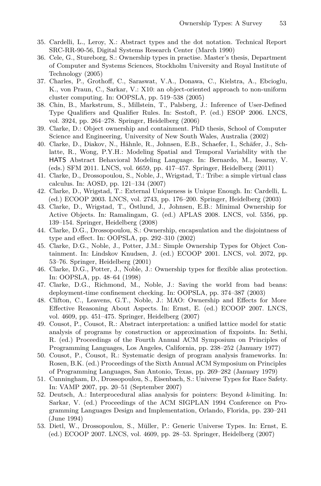- <span id="page-38-9"></span>35. Cardelli, L., Leroy, X.: Abstract types and the dot notation. Technical Report SRC-RR-90-56, Digital Systems Research Center (March 1990)
- <span id="page-38-3"></span>36. Cele, G., Stureborg, S.: Ownership types in practise. Master's thesis, Department of Computer and Systems Sciences, Stockholm University and Royal Institute of Technology (2005)
- <span id="page-38-14"></span>37. Charles, P., Grothoff, C., Saraswat, V.A., Donawa, C., Kielstra, A., Ebcioglu, K., von Praun, C., Sarkar, V.: X10: an object-oriented approach to non-uniform cluster computing. In: OOPSLA, pp. 519–538 (2005)
- <span id="page-38-4"></span>38. Chin, B., Markstrum, S., Millstein, T., Palsberg, J.: Inference of User-Defined Type Qualifiers and Qualifier Rules. In: Sestoft, P. (ed.) ESOP 2006. LNCS, vol. 3924, pp. 264–278. Springer, Heidelberg (2006)
- <span id="page-38-1"></span>39. Clarke, D.: Object ownership and containment. PhD thesis, School of Computer Science and Engineering, University of New South Wales, Australia (2002)
- <span id="page-38-13"></span>40. Clarke, D., Diakov, N., Hähnle, R., Johnsen, E.B., Schaefer, I., Schäfer, J., Schlatte, R., Wong, P.Y.H.: Modeling Spatial and Temporal Variability with the HATS Abstract Behavioral Modeling Language. In: Bernardo, M., Issarny, V. (eds.) SFM 2011. LNCS, vol. 6659, pp. 417–457. Springer, Heidelberg (2011)
- <span id="page-38-15"></span><span id="page-38-2"></span>41. Clarke, D., Drossopoulou, S., Noble, J., Wrigstad, T.: Tribe: a simple virtual class calculus. In: AOSD, pp. 121–134 (2007)
- 42. Clarke, D., Wrigstad, T.: External Uniqueness is Unique Enough. In: Cardelli, L. (ed.) ECOOP 2003. LNCS, vol. 2743, pp. 176–200. Springer, Heidelberg (2003)
- <span id="page-38-5"></span><span id="page-38-0"></span>43. Clarke, D., Wrigstad, T., Östlund, J., Johnsen, E.B.: Minimal Ownership for Active Objects. In: Ramalingam, G. (ed.) APLAS 2008. LNCS, vol. 5356, pp. 139–154. Springer, Heidelberg (2008)
- <span id="page-38-8"></span>44. Clarke, D.G., Drossopoulou, S.: Ownership, encapsulation and the disjointness of type and effect. In: OOPSLA, pp. 292–310 (2002)
- <span id="page-38-11"></span>45. Clarke, D.G., Noble, J., Potter, J.M.: Simple Ownership Types for Object Containment. In: Lindskov Knudsen, J. (ed.) ECOOP 2001. LNCS, vol. 2072, pp. 53–76. Springer, Heidelberg (2001)
- 46. Clarke, D.G., Potter, J., Noble, J.: Ownership types for flexible alias protection. In: OOPSLA, pp. 48–64 (1998)
- <span id="page-38-12"></span>47. Clarke, D.G., Richmond, M., Noble, J.: Saving the world from bad beans: deployment-time confinement checking. In: OOPSLA, pp. 374–387 (2003)
- 48. Clifton, C., Leavens, G.T., Noble, J.: MAO: Ownership and Effects for More Effective Reasoning About Aspects. In: Ernst, E. (ed.) ECOOP 2007. LNCS, vol. 4609, pp. 451–475. Springer, Heidelberg (2007)
- <span id="page-38-10"></span><span id="page-38-7"></span>49. Cousot, P., Cousot, R.: Abstract interpretation: a unified lattice model for static analysis of programs by construction or approximation of fixpoints. In: Sethi, R. (ed.) Proceedings of the Fourth Annual ACM Symposium on Principles of Programming Languages, Los Angeles, California, pp. 238–252 (January 1977)
- <span id="page-38-6"></span>50. Cousot, P., Cousot, R.: Systematic design of program analysis frameworks. In: Rosen, B.K. (ed.) Proceedings of the Sixth Annual ACM Symposium on Principles of Programming Languages, San Antonio, Texas, pp. 269–282 (January 1979)
- 51. Cunningham, D., Drossopoulou, S., Eisenbach, S.: Universe Types for Race Safety. In: VAMP 2007, pp. 20–51 (September 2007)
- 52. Deutsch, A.: Interprocedural alias analysis for pointers: Beyond *k*-limiting. In: Sarkar, V. (ed.) Proceedings of the ACM SIGPLAN 1994 Conference on Programming Languages Design and Implementation, Orlando, Florida, pp. 230–241 (June 1994)
- 53. Dietl, W., Drossopoulou, S., Müller, P.: Generic Universe Types. In: Ernst, E. (ed.) ECOOP 2007. LNCS, vol. 4609, pp. 28–53. Springer, Heidelberg (2007)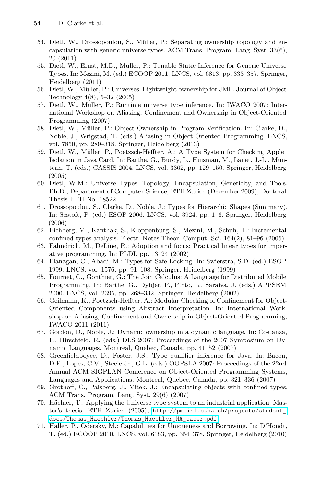- <span id="page-39-12"></span><span id="page-39-11"></span><span id="page-39-9"></span><span id="page-39-8"></span><span id="page-39-2"></span><span id="page-39-1"></span>54 D. Clarke et al.
- <span id="page-39-3"></span>54. Dietl, W., Drossopoulou, S., Müller, P.: Separating ownership topology and encapsulation with generic universe types. ACM Trans. Program. Lang. Syst. 33(6), 20 (2011)
- <span id="page-39-0"></span>55. Dietl, W., Ernst, M.D., Müller, P.: Tunable Static Inference for Generic Universe Types. In: Mezini, M. (ed.) ECOOP 2011. LNCS, vol. 6813, pp. 333–357. Springer, Heidelberg (2011)
- 56. Dietl, W., Müller, P.: Universes: Lightweight ownership for JML. Journal of Object Technology 4(8), 5–32 (2005)
- 57. Dietl, W., Müller, P.: Runtime universe type inference. In: IWACO 2007: International Workshop on Aliasing, Confinement and Ownership in Object-Oriented Programming (2007)
- <span id="page-39-10"></span>58. Dietl, W., Müller, P.: Object Ownership in Program Verification. In: Clarke, D., Noble, J., Wrigstad, T. (eds.) Aliasing in Object-Oriented Programming. LNCS, vol. 7850, pp. 289–318. Springer, Heidelberg (2013)
- <span id="page-39-13"></span>59. Dietl, W., Müller, P., Poetzsch-Heffter, A.: A Type System for Checking Applet Isolation in Java Card. In: Barthe, G., Burdy, L., Huisman, M., Lanet, J.-L., Muntean, T. (eds.) CASSIS 2004. LNCS, vol. 3362, pp. 129–150. Springer, Heidelberg (2005)
- 60. Dietl, W.M.: Universe Types: Topology, Encapsulation, Genericity, and Tools. Ph.D., Department of Computer Science, ETH Zurich (December 2009); Doctoral Thesis ETH No. 18522
- <span id="page-39-5"></span>61. Drossopoulou, S., Clarke, D., Noble, J.: Types for Hierarchic Shapes (Summary). In: Sestoft, P. (ed.) ESOP 2006. LNCS, vol. 3924, pp. 1–6. Springer, Heidelberg (2006)
- <span id="page-39-7"></span>62. Eichberg, M., Kanthak, S., Kloppenburg, S., Mezini, M., Schuh, T.: Incremental confined types analysis. Electr. Notes Theor. Comput. Sci. 164(2), 81–96 (2006)
- <span id="page-39-4"></span>63. Fähndrich, M., DeLine, R.: Adoption and focus: Practical linear types for imperative programming. In: PLDI, pp. 13–24 (2002)
- 64. Flanagan, C., Abadi, M.: Types for Safe Locking. In: Swierstra, S.D. (ed.) ESOP 1999. LNCS, vol. 1576, pp. 91–108. Springer, Heidelberg (1999)
- 65. Fournet, C., Gonthier, G.: The Join Calculus: A Language for Distributed Mobile Programming. In: Barthe, G., Dybjer, P., Pinto, L., Saraiva, J. (eds.) APPSEM 2000. LNCS, vol. 2395, pp. 268–332. Springer, Heidelberg (2002)
- <span id="page-39-6"></span>66. Geilmann, K., Poetzsch-Heffter, A.: Modular Checking of Confinement for Object-Oriented Components using Abstract Interpretation. In: International Workshop on Aliasing, Confinement and Ownership in Object-Oriented Programming, IWACO 2011 (2011)
- 67. Gordon, D., Noble, J.: Dynamic ownership in a dynamic language. In: Costanza, P., Hirschfeld, R. (eds.) DLS 2007: Proceedings of the 2007 Symposium on Dynamic Languag[es,](http://pm.inf.ethz.ch/projects/student_docs/Thomas_Haechler/Thomas_Haechler_MA_paper.pdf) [Montreal,](http://pm.inf.ethz.ch/projects/student_docs/Thomas_Haechler/Thomas_Haechler_MA_paper.pdf) [Quebec,](http://pm.inf.ethz.ch/projects/student_docs/Thomas_Haechler/Thomas_Haechler_MA_paper.pdf) [Canada,](http://pm.inf.ethz.ch/projects/student_docs/Thomas_Haechler/Thomas_Haechler_MA_paper.pdf) [pp.](http://pm.inf.ethz.ch/projects/student_docs/Thomas_Haechler/Thomas_Haechler_MA_paper.pdf) [41–52](http://pm.inf.ethz.ch/projects/student_docs/Thomas_Haechler/Thomas_Haechler_MA_paper.pdf) [\(2007](http://pm.inf.ethz.ch/projects/student_docs/Thomas_Haechler/Thomas_Haechler_MA_paper.pdf))
- [68.](http://pm.inf.ethz.ch/projects/student_docs/Thomas_Haechler/Thomas_Haechler_MA_paper.pdf) [Greenfieldboyce,](http://pm.inf.ethz.ch/projects/student_docs/Thomas_Haechler/Thomas_Haechler_MA_paper.pdf) [D.,](http://pm.inf.ethz.ch/projects/student_docs/Thomas_Haechler/Thomas_Haechler_MA_paper.pdf) [Foster,](http://pm.inf.ethz.ch/projects/student_docs/Thomas_Haechler/Thomas_Haechler_MA_paper.pdf) [J.S.:](http://pm.inf.ethz.ch/projects/student_docs/Thomas_Haechler/Thomas_Haechler_MA_paper.pdf) [Typ](http://pm.inf.ethz.ch/projects/student_docs/Thomas_Haechler/Thomas_Haechler_MA_paper.pdf)e qualifier inference for Java. In: Bacon, D.F., Lopes, C.V., Steele Jr., G.L. (eds.) OOPSLA 2007: Proceedings of the 22nd Annual ACM SIGPLAN Conference on Object-Oriented Programming Systems, Languages and Applications, Montreal, Quebec, Canada, pp. 321–336 (2007)
- 69. Grothoff, C., Palsberg, J., Vitek, J.: Encapsulating objects with confined types. ACM Trans. Program. Lang. Syst. 29(6) (2007)
- 70. Hächler, T.: Applying the Universe type system to an industrial application. Master's thesis, ETH Zurich (2005), http://pm.inf.ethz.ch/projects/student\_ docs/Thomas\_Haechler/Thomas\_Haechler\_MA\_paper.pdf
- 71. Haller, P., Odersky, M.: Capabilities for Uniqueness and Borrowing. In: D'Hondt, T. (ed.) ECOOP 2010. LNCS, vol. 6183, pp. 354–378. Springer, Heidelberg (2010)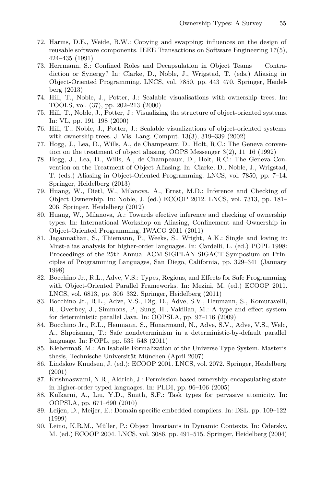- <span id="page-40-7"></span><span id="page-40-6"></span>72. Harms, D.E., Weide, B.W.: Copying and swapping: influences on the design of reusable software components. IEEE Transactions on Software Engineering 17(5), 424–435 (1991)
- 73. Herrmann, S.: Confined Roles and Decapsulation in Object Teams Contradiction or Synergy? In: Clarke, D., Noble, J., Wrigstad, T. (eds.) Aliasing in Object-Oriented Programming. LNCS, vol. 7850, pp. 443–470. Springer, Heidelberg (2013)
- <span id="page-40-0"></span>74. Hill, T., Noble, J., Potter, J.: Scalable visualisations with ownership trees. In: TOOLS, vol. (37), pp. 202–213 (2000)
- 75. Hill, T., Noble, J., Potter, J.: Visualizing the structure of object-oriented systems. In: VL, pp. 191–198 (2000)
- <span id="page-40-10"></span>76. Hill, T., Noble, J., Potter, J.: Scalable visualizations of object-oriented systems with ownership trees. J. Vis. Lang. Comput. 13(3), 319–339 (2002)
- <span id="page-40-9"></span>77. Hogg, J., Lea, D., Wills, A., de Champeaux, D., Holt, R.C.: The Geneva convention on the treatment of object aliasing. OOPS Messenger 3(2), 11–16 (1992)
- <span id="page-40-8"></span>78. Hogg, J., Lea, D., Wills, A., de Champeaux, D., Holt, R.C.: The Geneva Convention on the Treatment of Object Aliasing. In: Clarke, D., Noble, J., Wrigstad, T. (eds.) Aliasing in Object-Oriented Programming. LNCS, vol. 7850, pp. 7–14. Springer, Heidelberg (2013)
- 79. Huang, W., Dietl, W., Milanova, A., Ernst, M.D.: Inference and Checking of Object Ownership. In: Noble, J. (ed.) ECOOP 2012. LNCS, vol. 7313, pp. 181– 206. Springer, Heidelberg (2012)
- <span id="page-40-2"></span>80. Huang, W., Milanova, A.: Towards efective inference and checking of ownership types. In: International Workshop on Aliasing, Confinement and Ownership in Object-Oriented Programming, IWACO 2011 (2011)
- <span id="page-40-4"></span><span id="page-40-3"></span>81. Jagannathan, S., Thiemann, P., Weeks, S., Wright, A.K.: Single and loving it: Must-alias analysis for higher-order languages. In: Cardelli, L. (ed.) POPL 1998: Proceedings of the 25th Annual ACM SIGPLAN-SIGACT Symposium on Principles of Programming Languages, San Diego, California, pp. 329–341 (January 1998)
- <span id="page-40-1"></span>82. Bocchino Jr., R.L., Adve, V.S.: Types, Regions, and Effects for Safe Programming with Object-Oriented Parallel Frameworks. In: Mezini, M. (ed.) ECOOP 2011. LNCS, vol. 6813, pp. 306–332. Springer, Heidelberg (2011)
- <span id="page-40-12"></span>83. Bocchino Jr., R.L., Adve, V.S., Dig, D., Adve, S.V., Heumann, S., Komuravelli, R., Overbey, J., Simmons, P., Sung, H., Vakilian, M.: A type and effect system for deterministic parallel Java. In: OOPSLA, pp. 97–116 (2009)
- <span id="page-40-11"></span>84. Bocchino Jr., R.L., Heumann, S., Honarmand, N., Adve, S.V., Adve, V.S., Welc, A., Shpeisman, T.: Safe nondeterminism in a deterministic-by-default parallel language. In: POPL, pp. 535–548 (2011)
- <span id="page-40-13"></span>85. Klebermaß, M.: An Isabelle Formalization of the Universe Type System. Master's thesis, Technische Universität München (April 2007)
- <span id="page-40-5"></span>86. Lindskov Knudsen, J. (ed.): ECOOP 2001. LNCS, vol. 2072. Springer, Heidelberg (2001)
- 87. Krishnaswami, N.R., Aldrich, J.: Permission-based ownership: encapsulating state in higher-order typed languages. In: PLDI, pp. 96–106 (2005)
- 88. Kulkarni, A., Liu, Y.D., Smith, S.F.: Task types for pervasive atomicity. In: OOPSLA, pp. 671–690 (2010)
- 89. Leijen, D., Meijer, E.: Domain specific embedded compilers. In: DSL, pp. 109–122 (1999)
- 90. Leino, K.R.M., Müller, P.: Object Invariants in Dynamic Contexts. In: Odersky, M. (ed.) ECOOP 2004. LNCS, vol. 3086, pp. 491–515. Springer, Heidelberg (2004)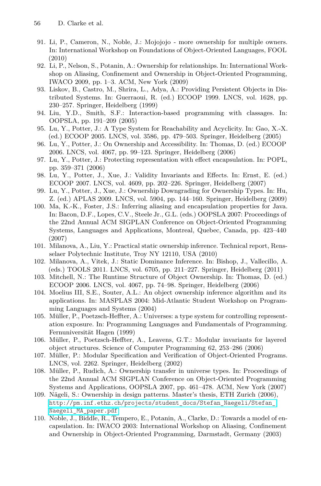- <span id="page-41-11"></span><span id="page-41-5"></span><span id="page-41-4"></span><span id="page-41-3"></span><span id="page-41-2"></span><span id="page-41-1"></span><span id="page-41-0"></span>91. Li, P., Cameron, N., Noble, J.: Mojojojo - more ownership for multiple owners. In: International Workshop on Foundations of Object-Oriented Languages, FOOL (2010)
- <span id="page-41-10"></span><span id="page-41-9"></span>92. Li, P., Nelson, S., Potanin, A.: Ownership for relationships. In: International Workshop on Aliasing, Confinement and Ownership in Object-Oriented Programming, IWACO 2009, pp. 1–3. ACM, New York (2009)
- 93. Liskov, B., Castro, M., Shrira, L., Adya, A.: Providing Persistent Objects in Distributed Systems. In: Guerraoui, R. (ed.) ECOOP 1999. LNCS, vol. 1628, pp. 230–257. Springer, Heidelberg (1999)
- <span id="page-41-7"></span>94. Liu, Y.D., Smith, S.F.: Interaction-based programming with classages. In: OOPSLA, pp. 191–209 (2005)
- <span id="page-41-8"></span>95. Lu, Y., Potter, J.: A Type System for Reachability and Acyclicity. In: Gao, X.-X. (ed.) ECOOP 2005. LNCS, vol. 3586, pp. 479–503. Springer, Heidelberg (2005)
- 96. Lu, Y., Potter, J.: On Ownership and Accessibility. In: Thomas, D. (ed.) ECOOP 2006. LNCS, vol. 4067, pp. 99–123. Springer, Heidelberg (2006)
- <span id="page-41-6"></span>97. Lu, Y., Potter, J.: Protecting representation with effect encapsulation. In: POPL, pp. 359–371 (2006)
- 98. Lu, Y., Potter, J., Xue, J.: Validity Invariants and Effects. In: Ernst, E. (ed.) ECOOP 2007. LNCS, vol. 4609, pp. 202–226. Springer, Heidelberg (2007)
- 99. Lu, Y., Potter, J., Xue, J.: Ownership Downgrading for Ownership Types. In: Hu, Z. (ed.) APLAS 2009. LNCS, vol. 5904, pp. 144–160. Springer, Heidelberg (2009)
- 100. Ma, K.-K., Foster, J.S.: Inferring aliasing and encapsulation properties for Java. In: Bacon, D.F., Lopes, C.V., Steele Jr., G.L. (eds.) OOPSLA 2007: Proceedings of the 22nd Annual ACM SIGPLAN Conference on Object-Oriented Programming Systems, Languages and Applications, Montreal, Quebec, Canada, pp. 423–440 (2007)
- 101. Milanova, A., Liu, Y.: Practical static ownership inference. Technical report, Rensselaer Polytechnic Institute, Troy NY 12110, USA (2010)
- <span id="page-41-13"></span>102. Milanova, A., Vitek, J.: Static Dominance Inference. In: Bishop, J., Vallecillo, A. (eds.) TOOLS 2011. LNCS, vol. 6705, pp. 211–227. Springer, Heidelberg (2011)
- <span id="page-41-12"></span>103. Mitchell, N.: The Runtime Structure of Object Ownership. In: Thomas, D. (ed.) ECOOP 2006. LNCS, vol. 4067, pp. 74–98. Springer, Heidelberg (2006)
- 104. Moelius III, S.E., Souter, A.L.: An object ownership inference algorithm and its applications. In: MASPLAS 2004: Mid-Atlantic Student Workshop on Programming Languages and Systems (2004)
- 105. Müller, P., Poetzsch-Heffter, A.: Universes: a type system for controlling representation exposure. In: Programming Languages and Fundamentals of Programming. Fernuniversität Hagen (1999)
- [106. Müller,](http://pm.inf.ethz.ch/projects/student_docs/Stefan_Naegeli/Stefan_Naegeli_MA_paper.pdf) [P.,](http://pm.inf.ethz.ch/projects/student_docs/Stefan_Naegeli/Stefan_Naegeli_MA_paper.pdf) [Poetzsch-Heffter,](http://pm.inf.ethz.ch/projects/student_docs/Stefan_Naegeli/Stefan_Naegeli_MA_paper.pdf) [A.,](http://pm.inf.ethz.ch/projects/student_docs/Stefan_Naegeli/Stefan_Naegeli_MA_paper.pdf) [Leavens,](http://pm.inf.ethz.ch/projects/student_docs/Stefan_Naegeli/Stefan_Naegeli_MA_paper.pdf) [G.T.:](http://pm.inf.ethz.ch/projects/student_docs/Stefan_Naegeli/Stefan_Naegeli_MA_paper.pdf) [Modular](http://pm.inf.ethz.ch/projects/student_docs/Stefan_Naegeli/Stefan_Naegeli_MA_paper.pdf) invariants for layered object structures. Science of Computer Programming 62, 253–286 (2006)
- 107. Müller, P.: Modular Specification and Verification of Object-Oriented Programs. LNCS, vol. 2262. Springer, Heidelberg (2002)
- 108. Müller, P., Rudich, A.: Ownership transfer in universe types. In: Proceedings of the 22nd Annual ACM SIGPLAN Conference on Object-Oriented Programming Systems and Applications, OOPSLA 2007, pp. 461–478. ACM, New York (2007)
- 109. Nägeli, S.: Ownership in design patterns. Master's thesis, ETH Zurich (2006), http://pm.inf.ethz.ch/projects/student\_docs/Stefan\_Naegeli/Stefan Naegeli\_MA\_paper.pdf
- 110. Noble, J., Biddle, R., Tempero, E., Potanin, A., Clarke, D.: Towards a model of encapsulation. In: IWACO 2003: International Workshop on Aliasing, Confinement and Ownership in Object-Oriented Programming, Darmstadt, Germany (2003)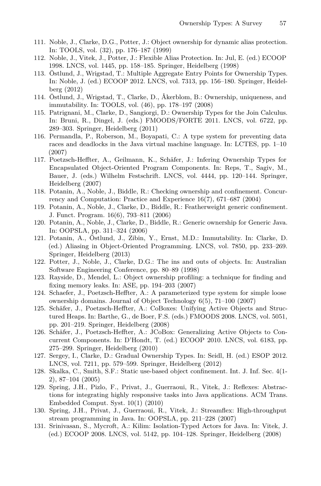- <span id="page-42-16"></span><span id="page-42-9"></span><span id="page-42-7"></span><span id="page-42-3"></span><span id="page-42-0"></span>111. Noble, J., Clarke, D.G., Potter, J.: Object ownership for dynamic alias protection. In: TOOLS, vol. (32), pp. 176–187 (1999)
- 112. Noble, J., Vitek, J., Potter, J.: Flexible Alias Protection. In: Jul, E. (ed.) ECOOP 1998. LNCS, vol. 1445, pp. 158–185. Springer, Heidelberg (1998)
- <span id="page-42-11"></span>113. Östlund, J., Wrigstad, T.: Multiple Aggregate Entry Points for Ownership Types. In: Noble, J. (ed.) ECOOP 2012. LNCS, vol. 7313, pp. 156–180. Springer, Heidelberg (2012)
- <span id="page-42-10"></span>114. Östlund, J., Wrigstad, T., Clarke, D., Åkerblom, B.: Ownership, uniqueness, and immutability. In: TOOLS, vol. (46), pp. 178–197 (2008)
- 115. Patrignani, M., Clarke, D., Sangiorgi, D.: Ownership Types for the Join Calculus. In: Bruni, R., Dingel, J. (eds.) FMOODS/FORTE 2011. LNCS, vol. 6722, pp. 289–303. Springer, Heidelberg (2011)
- <span id="page-42-1"></span>116. Permandla, P., Roberson, M., Boyapati, C.: A type system for preventing data races and deadlocks in the Java virtual machine language. In: LCTES, pp. 1–10 (2007)
- <span id="page-42-6"></span>117. Poetzsch-Heffter, A., Geilmann, K., Schäfer, J.: Infering Ownership Types for Encapsulated Object-Oriented Program Components. In: Reps, T., Sagiv, M., Bauer, J. (eds.) Wilhelm Festschrift. LNCS, vol. 4444, pp. 120–144. Springer, Heidelberg (2007)
- <span id="page-42-14"></span>118. Potanin, A., Noble, J., Biddle, R.: Checking ownership and confinement. Concurrency and Computation: Practice and Experience 16(7), 671–687 (2004)
- <span id="page-42-17"></span>119. Potanin, A., Noble, J., Clarke, D., Biddle, R.: Featherweight generic confinement. J. Funct. Program. 16(6), 793–811 (2006)
- <span id="page-42-2"></span>120. Potanin, A., Noble, J., Clarke, D., Biddle, R.: Generic ownership for Generic Java. In: OOPSLA, pp. 311–324 (2006)
- <span id="page-42-12"></span>121. Potanin, A., Östlund, J., Zibin, Y., Ernst, M.D.: Immutability. In: Clarke, D. (ed.) Aliasing in Object-Oriented Programming. LNCS, vol. 7850, pp. 233–269. Springer, Heidelberg (2013)
- <span id="page-42-13"></span>122. Potter, J., Noble, J., Clarke, D.G.: The ins and outs of objects. In: Australian Software Engineering Conference, pp. 80–89 (1998)
- 123. Rayside, D., Mendel, L.: Object ownership profiling: a technique for finding and fixing memory leaks. In: ASE, pp. 194–203 (2007)
- <span id="page-42-8"></span>124. Schaefer, J., Poetzsch-Heffter, A.: A parameterized type system for simple loose ownership domains. Journal of Object Technology 6(5), 71–100 (2007)
- <span id="page-42-15"></span><span id="page-42-4"></span>125. Schäfer, J., Poetzsch-Heffter, A.: CoBoxes: Unifying Active Objects and Structured Heaps. In: Barthe, G., de Boer, F.S. (eds.) FMOODS 2008. LNCS, vol. 5051, pp. 201–219. Springer, Heidelberg (2008)
- <span id="page-42-5"></span>126. Schäfer, J., Poetzsch-Heffter, A.: JCoBox: Generalizing Active Objects to Concurrent Components. In: D'Hondt, T. (ed.) ECOOP 2010. LNCS, vol. 6183, pp. 275–299. Springer, Heidelberg (2010)
- 127. Sergey, I., Clarke, D.: Gradual Ownership Types. In: Seidl, H. (ed.) ESOP 2012. LNCS, vol. 7211, pp. 579–599. Springer, Heidelberg (2012)
- 128. Skalka, C., Smith, S.F.: Static use-based object confinement. Int. J. Inf. Sec. 4(1- 2), 87–104 (2005)
- 129. Spring, J.H., Pizlo, F., Privat, J., Guerraoui, R., Vitek, J.: Reflexes: Abstractions for integrating highly responsive tasks into Java applications. ACM Trans. Embedded Comput. Syst. 10(1) (2010)
- 130. Spring, J.H., Privat, J., Guerraoui, R., Vitek, J.: Streamflex: High-throughput stream programming in Java. In: OOPSLA, pp. 211–228 (2007)
- 131. Srinivasan, S., Mycroft, A.: Kilim: Isolation-Typed Actors for Java. In: Vitek, J. (ed.) ECOOP 2008. LNCS, vol. 5142, pp. 104–128. Springer, Heidelberg (2008)